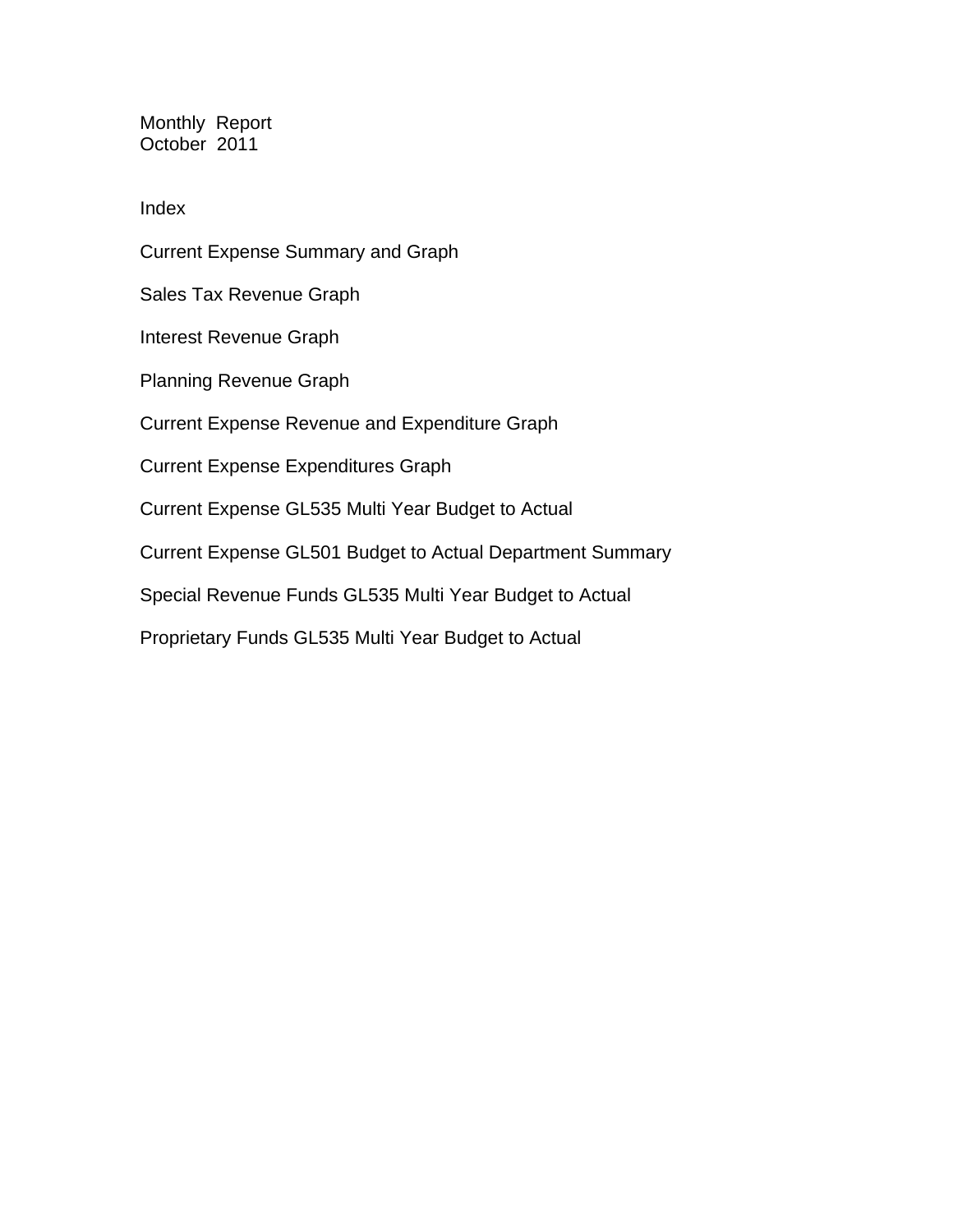Monthly Report October 2011

Index

Current Expense Summary and Graph Sales Tax Revenue Graph Interest Revenue Graph Planning Revenue Graph Current Expense Revenue and Expenditure Graph Current Expense Expenditures Graph Current Expense GL535 Multi Year Budget to Actual Current Expense GL501 Budget to Actual Department Summary Special Revenue Funds GL535 Multi Year Budget to Actual Proprietary Funds GL535 Multi Year Budget to Actual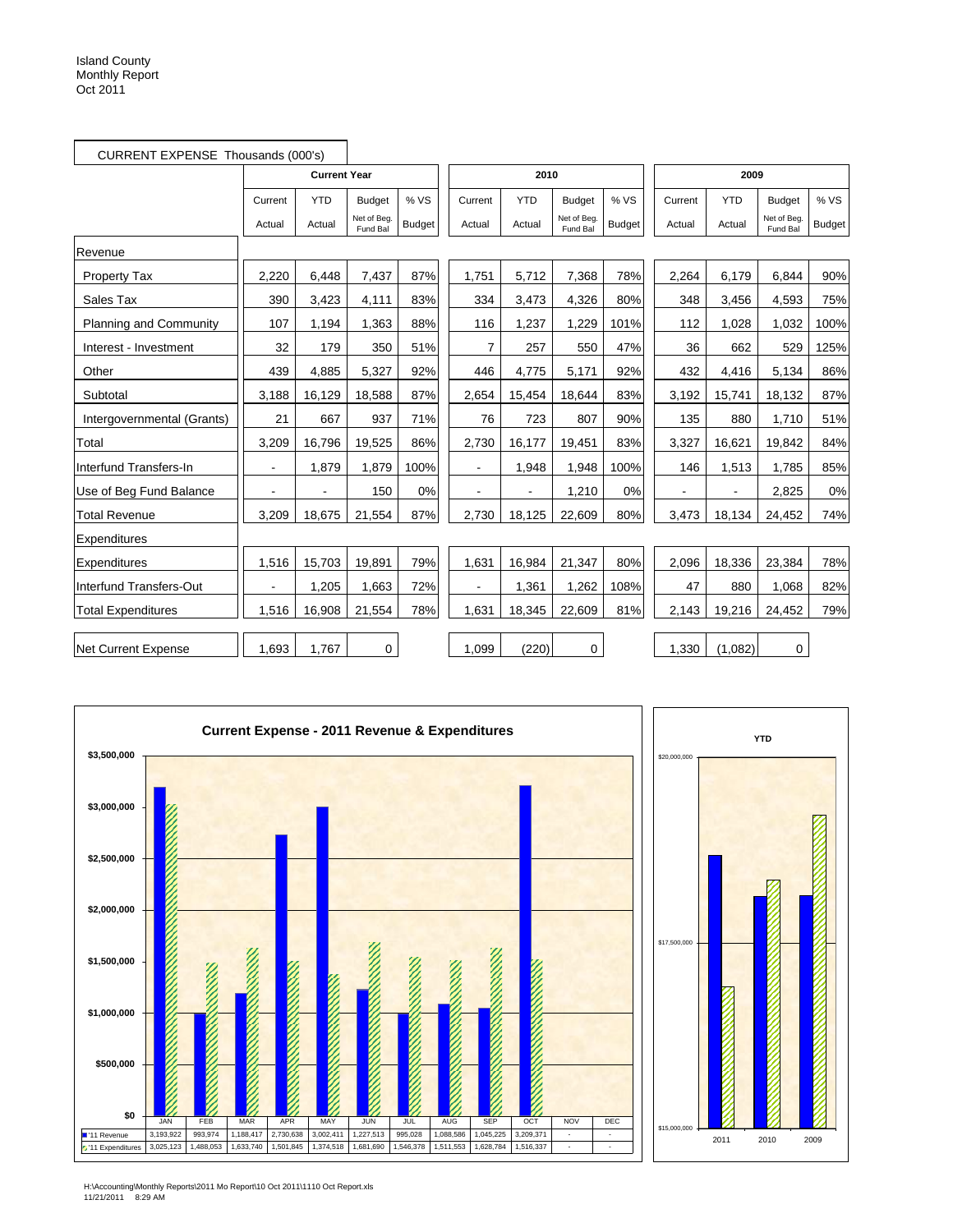|                               | CURRENT EXPENSE Thousands (000's) |                          |                         |               |         |            |                         |               |         |            |                         |        |
|-------------------------------|-----------------------------------|--------------------------|-------------------------|---------------|---------|------------|-------------------------|---------------|---------|------------|-------------------------|--------|
|                               |                                   | <b>Current Year</b>      |                         |               |         | 2010       |                         |               |         | 2009       |                         |        |
|                               | Current                           | <b>YTD</b>               | <b>Budget</b>           | % VS          | Current | <b>YTD</b> | <b>Budget</b>           | % VS          | Current | <b>YTD</b> | <b>Budget</b>           | % VS   |
|                               | Actual                            | Actual                   | Net of Beg.<br>Fund Bal | <b>Budget</b> | Actual  | Actual     | Net of Beg.<br>Fund Bal | <b>Budget</b> | Actual  | Actual     | Net of Beg.<br>Fund Bal | Budget |
| Revenue                       |                                   |                          |                         |               |         |            |                         |               |         |            |                         |        |
| <b>Property Tax</b>           | 2,220                             | 6,448                    | 7,437                   | 87%           | 1,751   | 5,712      | 7,368                   | 78%           | 2,264   | 6,179      | 6,844                   | 90%    |
| Sales Tax                     | 390                               | 3,423                    | 4,111                   | 83%           | 334     | 3,473      | 4,326                   | 80%           | 348     | 3,456      | 4,593                   | 75%    |
| <b>Planning and Community</b> | 107                               | 1,194                    | 1,363                   | 88%           | 116     | 1,237      | 1.229                   | 101%          | 112     | 1,028      | 1,032                   | 100%   |
| Interest - Investment         | 32                                | 179                      | 350                     | 51%           | 7       | 257        | 550                     | 47%           | 36      | 662        | 529                     | 125%   |
| Other                         | 439                               | 4,885                    | 5,327                   | 92%           | 446     | 4,775      | 5,171                   | 92%           | 432     | 4,416      | 5,134                   | 86%    |
| Subtotal                      | 3,188                             | 16,129                   | 18,588                  | 87%           | 2,654   | 15,454     | 18,644                  | 83%           | 3,192   | 15,741     | 18,132                  | 87%    |
| Intergovernmental (Grants)    | 21                                | 667                      | 937                     | 71%           | 76      | 723        | 807                     | 90%           | 135     | 880        | 1,710                   | 51%    |
| Total                         | 3,209                             | 16,796                   | 19,525                  | 86%           | 2,730   | 16,177     | 19,451                  | 83%           | 3,327   | 16,621     | 19,842                  | 84%    |
| Interfund Transfers-In        | $\blacksquare$                    | 1,879                    | 1,879                   | 100%          |         | 1,948      | 1,948                   | 100%          | 146     | 1,513      | 1,785                   | 85%    |
| Use of Beg Fund Balance       |                                   | $\overline{\phantom{a}}$ | 150                     | 0%            |         |            | 1,210                   | 0%            | ä,      | ä,         | 2,825                   | 0%     |
| <b>Total Revenue</b>          | 3,209                             | 18,675                   | 21,554                  | 87%           | 2,730   | 18,125     | 22,609                  | 80%           | 3,473   | 18,134     | 24,452                  | 74%    |
| Expenditures                  |                                   |                          |                         |               |         |            |                         |               |         |            |                         |        |
| Expenditures                  | 1,516                             | 15,703                   | 19,891                  | 79%           | 1,631   | 16,984     | 21,347                  | 80%           | 2,096   | 18,336     | 23,384                  | 78%    |
| Interfund Transfers-Out       |                                   | 1,205                    | 1,663                   | 72%           |         | 1,361      | 1,262                   | 108%          | 47      | 880        | 1,068                   | 82%    |
| <b>Total Expenditures</b>     | 1,516                             | 16,908                   | 21,554                  | 78%           | 1,631   | 18,345     | 22,609                  | 81%           | 2,143   | 19,216     | 24,452                  | 79%    |
| Net Current Expense           | 1.693                             | 1.767                    | $\mathbf 0$             |               | 1.099   | (220)      | $\mathbf 0$             |               | 1,330   | (1,082)    | $\mathbf 0$             |        |



H:\Accounting\Monthly Reports\2011 Mo Report\10 Oct 2011\1110 Oct Report.xls 11/21/2011 8:29 AM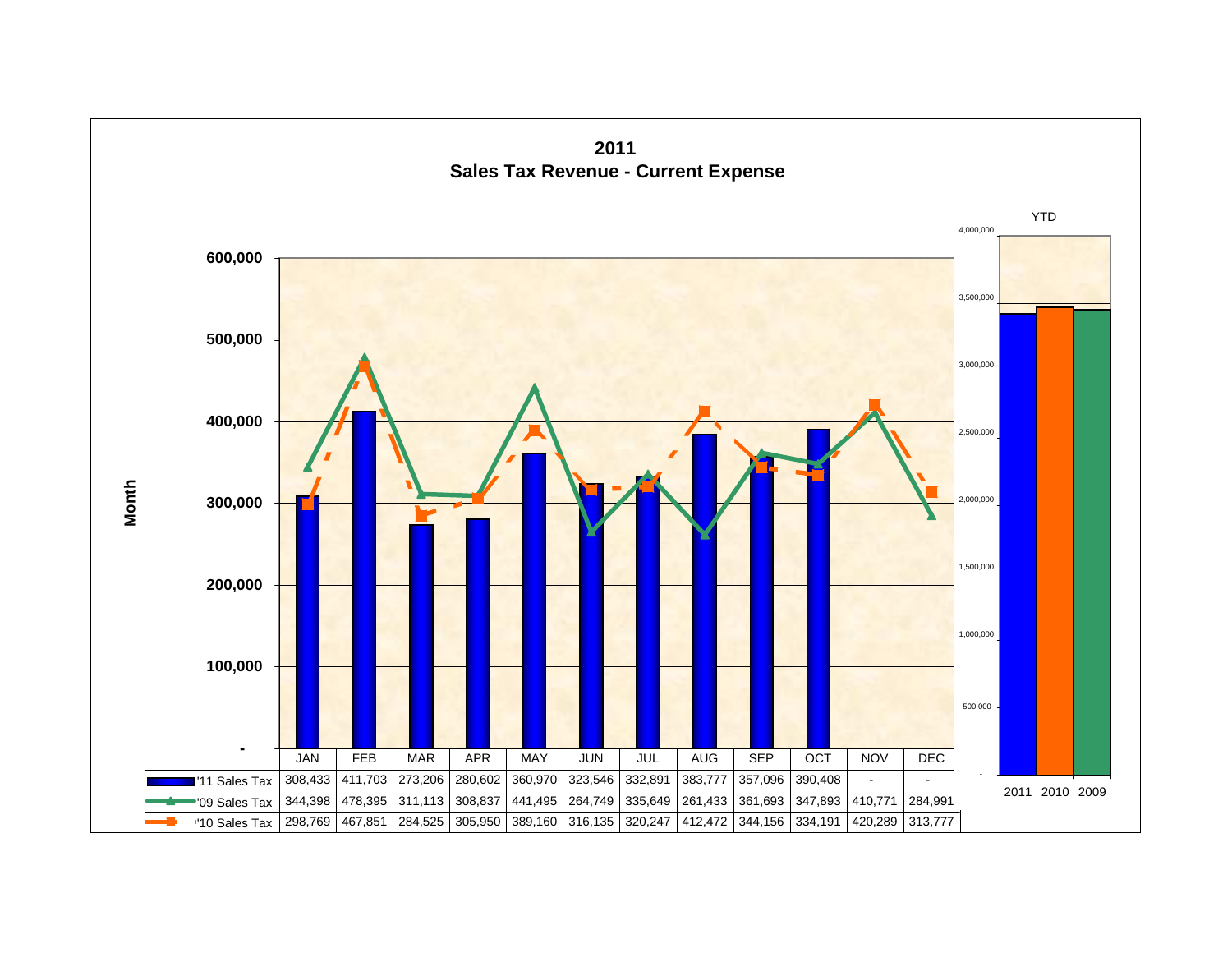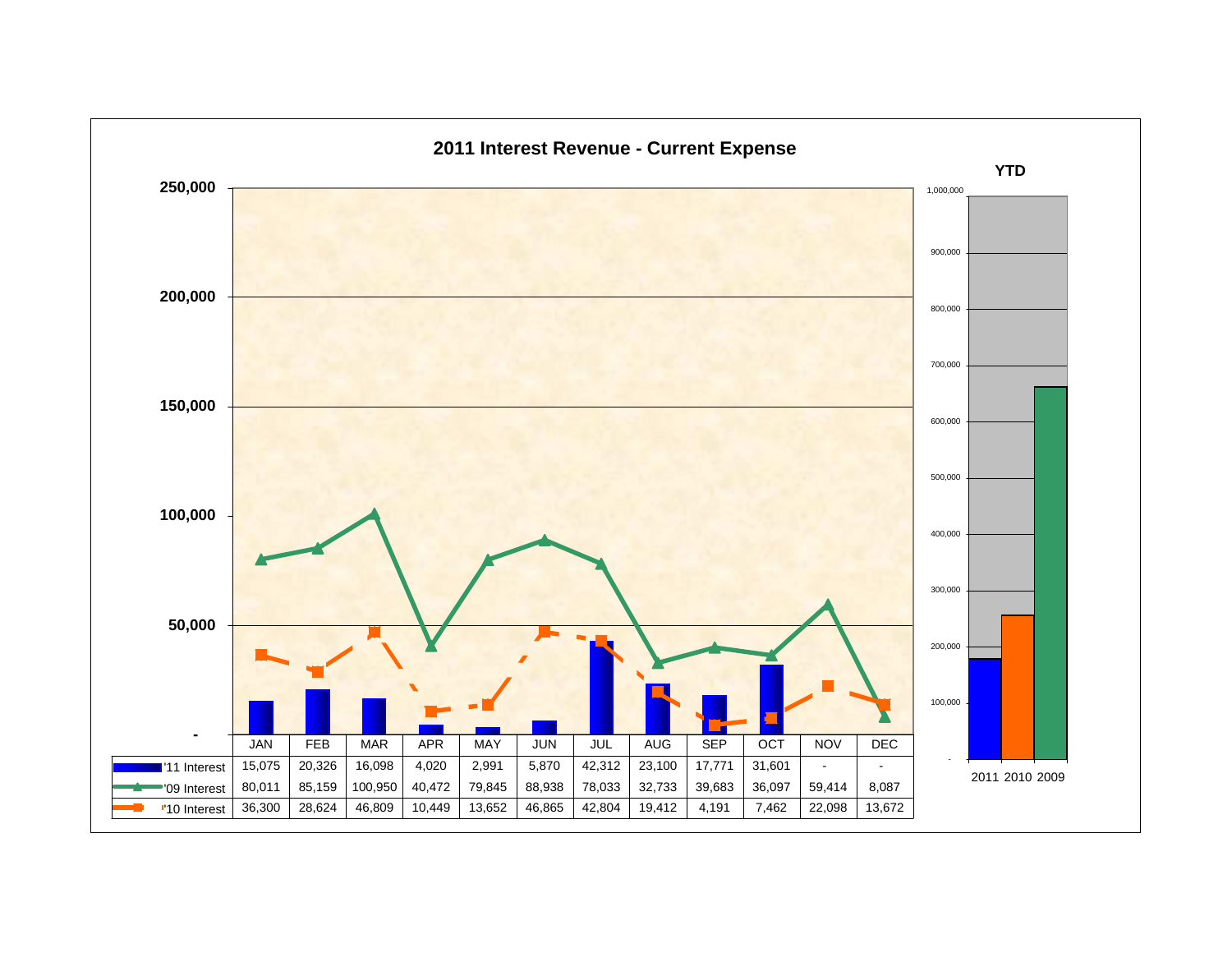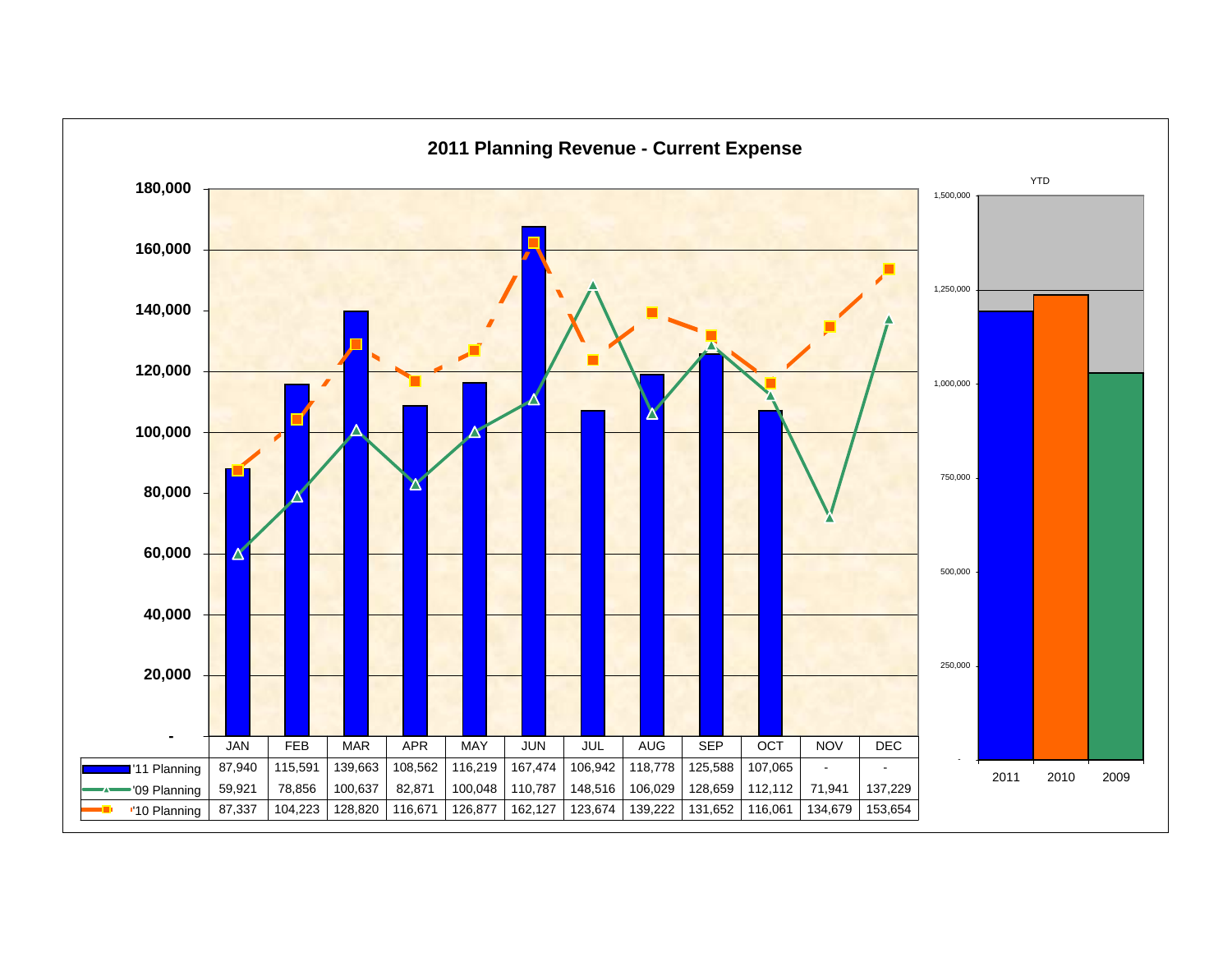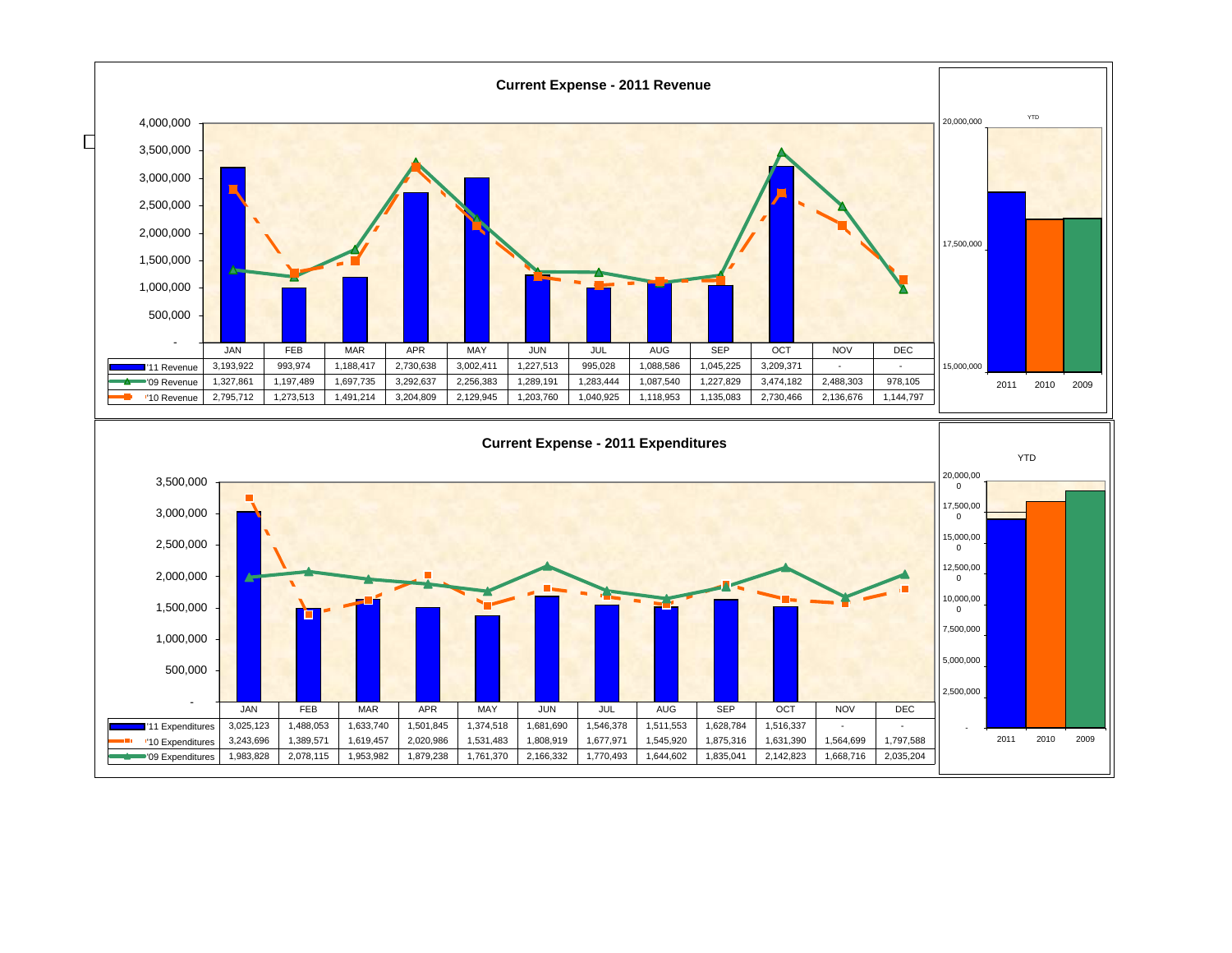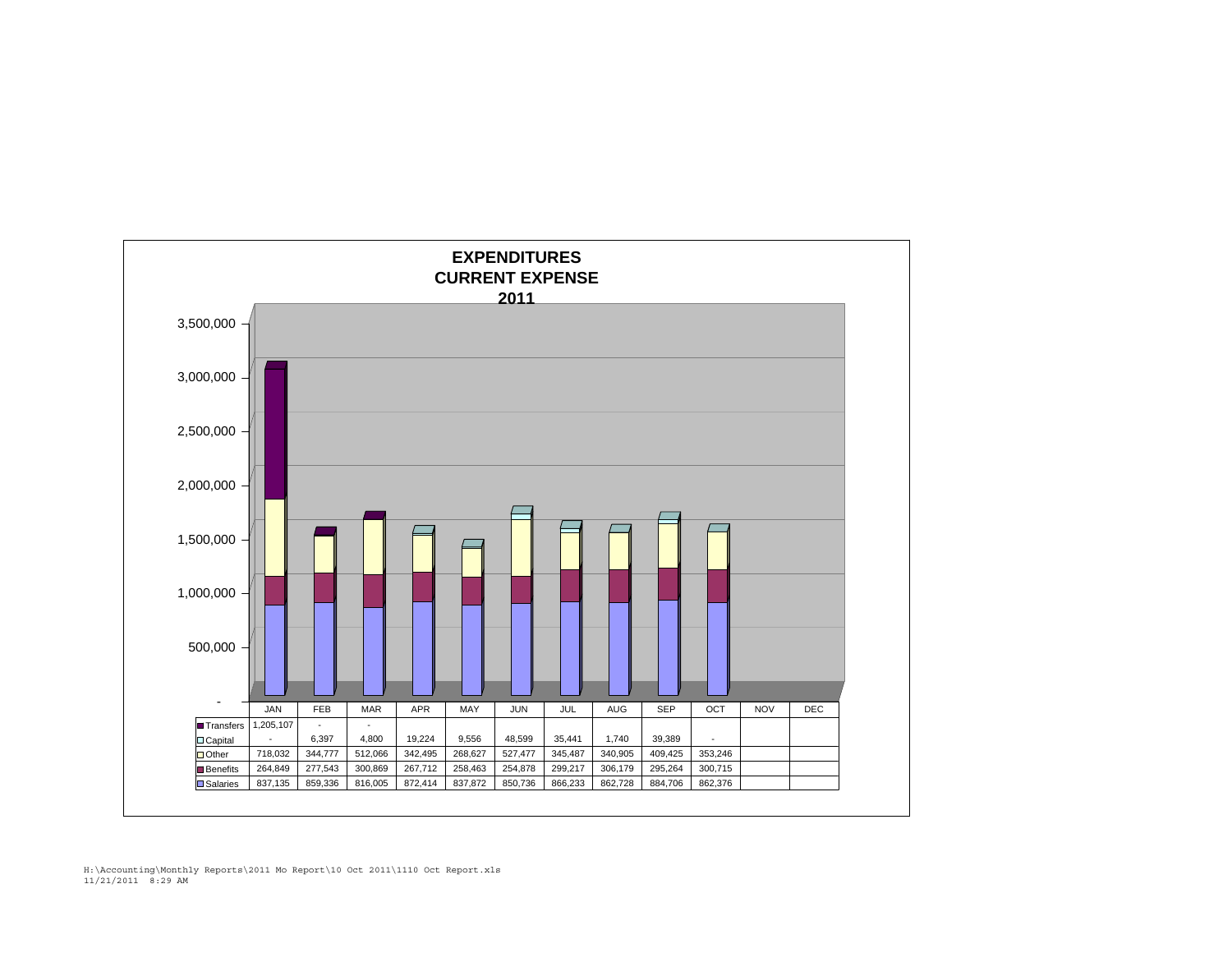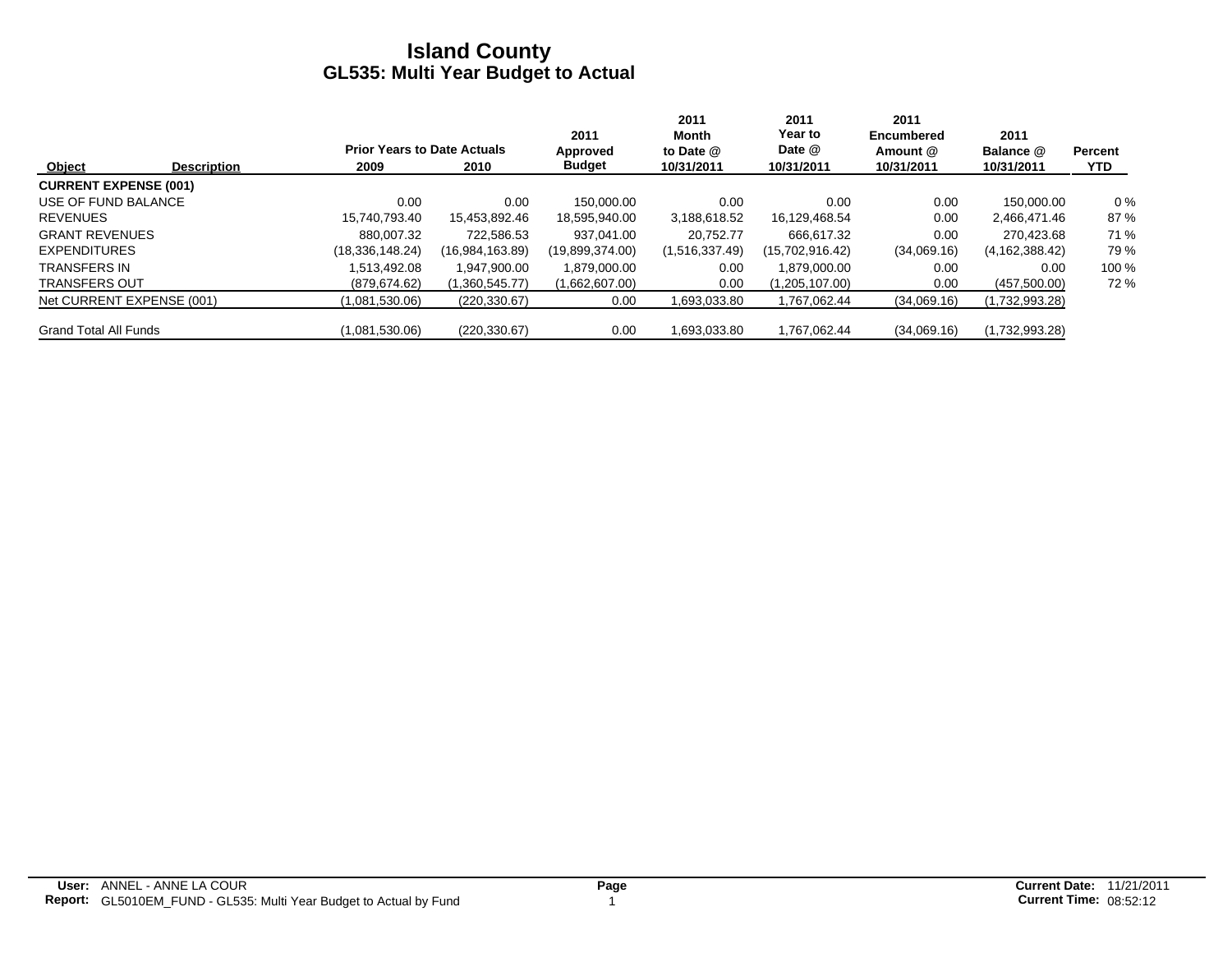|                              |                    |                                    |                 | 2011            | 2011<br>Month  | 2011<br>Year to | 2011<br>Encumbered | 2011             |                |
|------------------------------|--------------------|------------------------------------|-----------------|-----------------|----------------|-----------------|--------------------|------------------|----------------|
|                              |                    | <b>Prior Years to Date Actuals</b> |                 | Approved        | to Date @      | Date @          | Amount @           | Balance @        | <b>Percent</b> |
| Object                       | <b>Description</b> | 2009                               | 2010            | <b>Budget</b>   | 10/31/2011     | 10/31/2011      | 10/31/2011         | 10/31/2011       | <b>YTD</b>     |
| <b>CURRENT EXPENSE (001)</b> |                    |                                    |                 |                 |                |                 |                    |                  |                |
| USE OF FUND BALANCE          |                    | 0.00                               | 0.00            | 150.000.00      | 0.00           | 0.00            | 0.00               | 150.000.00       | $0\%$          |
| <b>REVENUES</b>              |                    | 15,740,793.40                      | 15,453,892.46   | 18,595,940.00   | 3,188,618.52   | 16,129,468.54   | 0.00               | 2,466,471.46     | 87%            |
| <b>GRANT REVENUES</b>        |                    | 880.007.32                         | 722.586.53      | 937.041.00      | 20.752.77      | 666.617.32      | 0.00               | 270.423.68       | 71 %           |
| <b>EXPENDITURES</b>          |                    | (18, 336, 148.24)                  | (16,984,163.89) | (19,899,374.00) | (1,516,337.49) | (15,702,916.42) | (34,069.16)        | (4, 162, 388.42) | 79 %           |
| <b>TRANSFERS IN</b>          |                    | 1.513.492.08                       | 1.947.900.00    | 1,879,000.00    | 0.00           | 1.879.000.00    | 0.00               | 0.00             | 100 %          |
| <b>TRANSFERS OUT</b>         |                    | (879, 674.62)                      | (1,360,545.77)  | (1,662,607.00)  | 0.00           | (1,205,107.00)  | 0.00               | (457,500.00)     | 72%            |
| Net CURRENT EXPENSE (001)    |                    | (1,081,530.06)                     | (220, 330.67)   | 0.00            | 1,693,033.80   | 1.767.062.44    | (34,069.16)        | (1,732,993.28)   |                |
| <b>Grand Total All Funds</b> |                    | (1,081,530.06)                     | (220, 330.67)   | 0.00            | 1.693.033.80   | 1.767.062.44    | (34,069.16)        | (1,732,993.28)   |                |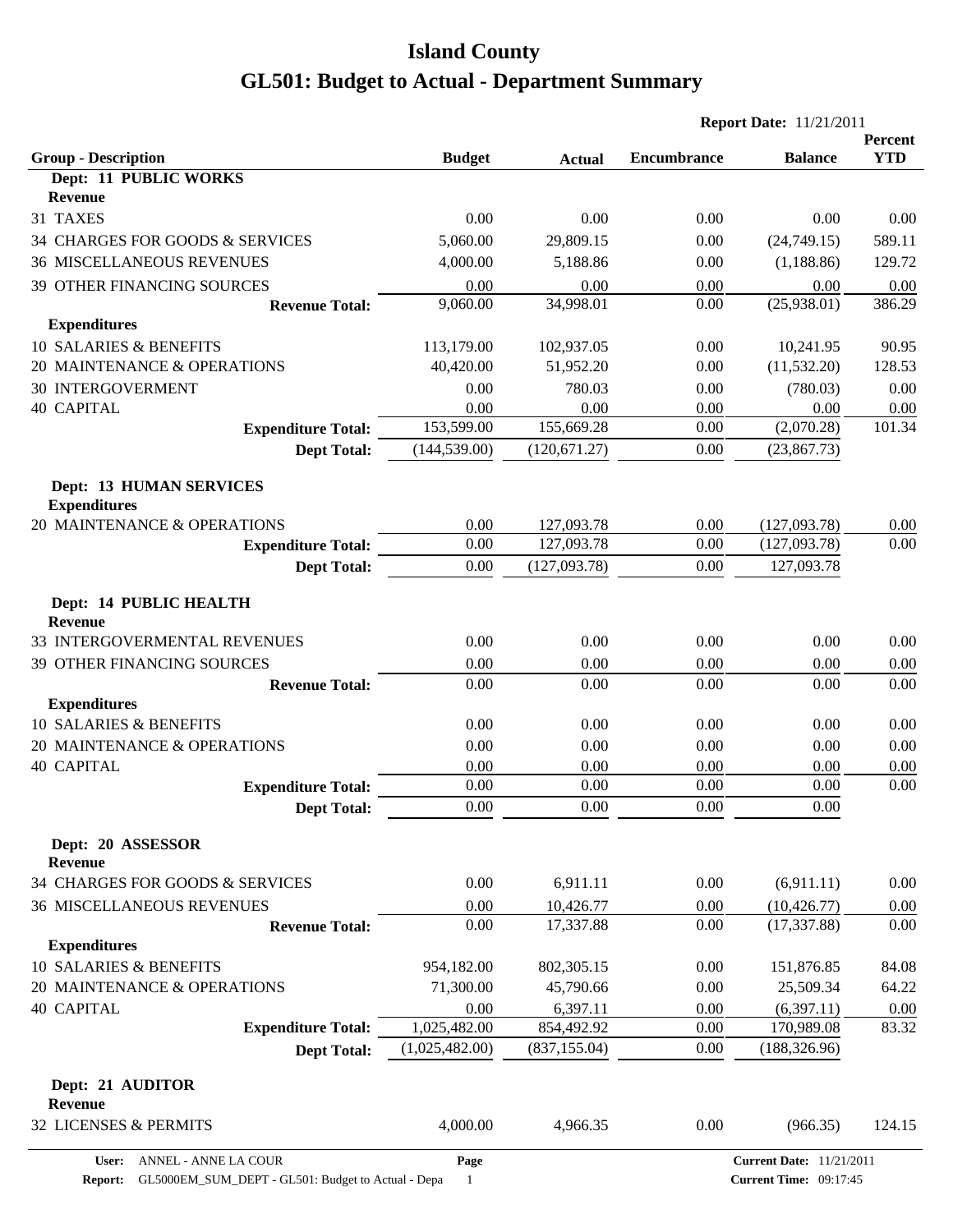|                                                       |                |                |                    | <b>Report Date: 11/21/2011</b> |                       |
|-------------------------------------------------------|----------------|----------------|--------------------|--------------------------------|-----------------------|
| <b>Group - Description</b>                            | <b>Budget</b>  | <b>Actual</b>  | <b>Encumbrance</b> | <b>Balance</b>                 | Percent<br><b>YTD</b> |
| Dept: 11 PUBLIC WORKS                                 |                |                |                    |                                |                       |
| <b>Revenue</b>                                        |                |                |                    |                                |                       |
| 31 TAXES                                              | 0.00           | 0.00           | 0.00               | 0.00                           | 0.00                  |
| 34 CHARGES FOR GOODS & SERVICES                       | 5,060.00       | 29,809.15      | 0.00               | (24,749.15)                    | 589.11                |
| <b>36 MISCELLANEOUS REVENUES</b>                      | 4,000.00       | 5,188.86       | 0.00               | (1, 188.86)                    | 129.72                |
| 39 OTHER FINANCING SOURCES                            | 0.00           | 0.00           | 0.00               | 0.00                           | 0.00                  |
| <b>Revenue Total:</b>                                 | 9,060.00       | 34,998.01      | 0.00               | (25,938.01)                    | 386.29                |
| <b>Expenditures</b>                                   |                |                |                    |                                |                       |
| 10 SALARIES & BENEFITS                                | 113,179.00     | 102,937.05     | 0.00               | 10,241.95                      | 90.95                 |
| 20 MAINTENANCE & OPERATIONS                           | 40,420.00      | 51,952.20      | 0.00               | (11, 532.20)                   | 128.53                |
| <b>30 INTERGOVERMENT</b><br><b>40 CAPITAL</b>         | 0.00<br>0.00   | 780.03<br>0.00 | 0.00<br>0.00       | (780.03)<br>0.00               | 0.00                  |
| <b>Expenditure Total:</b>                             | 153,599.00     | 155,669.28     | 0.00               | (2,070.28)                     | 0.00<br>101.34        |
| <b>Dept Total:</b>                                    | (144, 539.00)  | (120, 671.27)  | 0.00               | (23, 867.73)                   |                       |
|                                                       |                |                |                    |                                |                       |
| <b>Dept: 13 HUMAN SERVICES</b><br><b>Expenditures</b> |                |                |                    |                                |                       |
| 20 MAINTENANCE & OPERATIONS                           | 0.00           | 127,093.78     | 0.00               | (127,093.78)                   | 0.00                  |
| <b>Expenditure Total:</b>                             | 0.00           | 127,093.78     | 0.00               | (127,093.78)                   | 0.00                  |
| <b>Dept Total:</b>                                    | 0.00           | (127,093.78)   | 0.00               | 127,093.78                     |                       |
| Dept: 14 PUBLIC HEALTH<br><b>Revenue</b>              |                |                |                    |                                |                       |
| 33 INTERGOVERMENTAL REVENUES                          | 0.00           | 0.00           | 0.00               | 0.00                           | 0.00                  |
| 39 OTHER FINANCING SOURCES                            | 0.00           | 0.00           | 0.00               | 0.00                           | 0.00                  |
| <b>Revenue Total:</b>                                 | 0.00           | 0.00           | 0.00               | 0.00                           | 0.00                  |
| <b>Expenditures</b>                                   |                |                |                    |                                |                       |
| 10 SALARIES & BENEFITS                                | 0.00           | 0.00           | 0.00               | 0.00                           | 0.00                  |
| 20 MAINTENANCE & OPERATIONS                           | 0.00           | 0.00           | 0.00               | 0.00                           | 0.00                  |
| <b>40 CAPITAL</b>                                     | 0.00           | 0.00           | 0.00               | 0.00                           | 0.00                  |
| <b>Expenditure Total:</b>                             | 0.00           | 0.00           | 0.00               | 0.00                           | 0.00                  |
| <b>Dept Total:</b>                                    | 0.00           | 0.00           | 0.00               | $0.00\,$                       |                       |
| Dept: 20 ASSESSOR<br><b>Revenue</b>                   |                |                |                    |                                |                       |
| 34 CHARGES FOR GOODS & SERVICES                       | 0.00           | 6,911.11       | 0.00               | (6,911.11)                     | 0.00                  |
| <b>36 MISCELLANEOUS REVENUES</b>                      | 0.00           | 10,426.77      | 0.00               | (10, 426.77)                   | 0.00                  |
| <b>Revenue Total:</b>                                 | 0.00           | 17,337.88      | 0.00               | (17, 337.88)                   | 0.00                  |
| <b>Expenditures</b>                                   |                |                |                    |                                |                       |
| 10 SALARIES & BENEFITS                                | 954,182.00     | 802,305.15     | 0.00               | 151,876.85                     | 84.08                 |
| 20 MAINTENANCE & OPERATIONS                           | 71,300.00      | 45,790.66      | 0.00               | 25,509.34                      | 64.22                 |
| <b>40 CAPITAL</b>                                     | 0.00           | 6,397.11       | 0.00               | (6,397.11)                     | 0.00                  |
| <b>Expenditure Total:</b>                             | 1,025,482.00   | 854,492.92     | 0.00               | 170,989.08                     | 83.32                 |
| <b>Dept Total:</b>                                    | (1,025,482.00) | (837, 155.04)  | 0.00               | (188, 326.96)                  |                       |
| Dept: 21 AUDITOR<br><b>Revenue</b>                    |                |                |                    |                                |                       |
| 32 LICENSES & PERMITS                                 | 4,000.00       | 4,966.35       | 0.00               | (966.35)                       | 124.15                |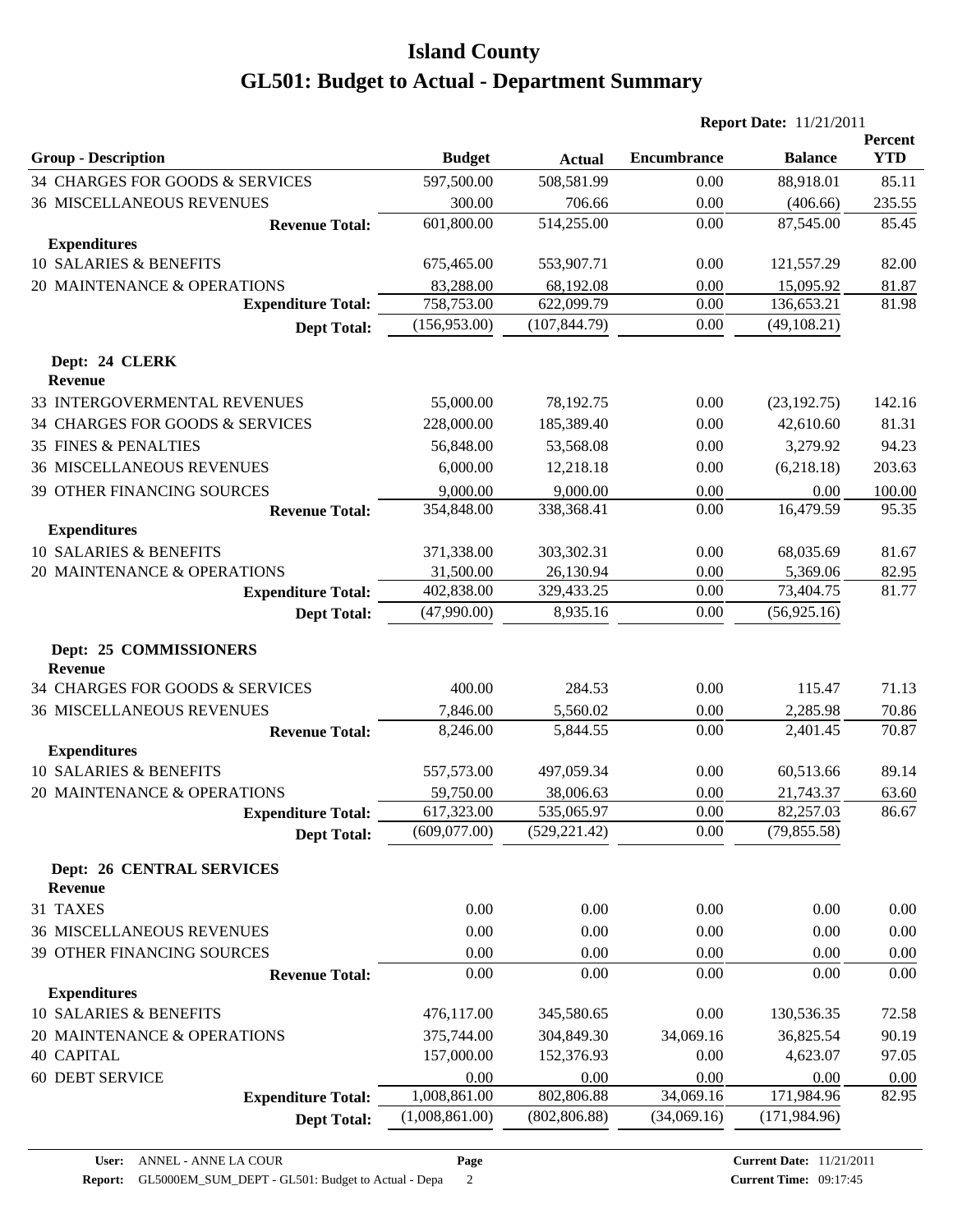|                                                    |                            |                             | <b>Report Date: 11/21/2011</b> |                           |                       |
|----------------------------------------------------|----------------------------|-----------------------------|--------------------------------|---------------------------|-----------------------|
| <b>Group - Description</b>                         | <b>Budget</b>              | <b>Actual</b>               | <b>Encumbrance</b>             | <b>Balance</b>            | Percent<br><b>YTD</b> |
| 34 CHARGES FOR GOODS & SERVICES                    | 597,500.00                 | 508,581.99                  | 0.00                           | 88,918.01                 | 85.11                 |
| <b>36 MISCELLANEOUS REVENUES</b>                   | 300.00                     | 706.66                      | 0.00                           | (406.66)                  | 235.55                |
| <b>Revenue Total:</b>                              | 601,800.00                 | 514,255.00                  | 0.00                           | 87,545.00                 | 85.45                 |
| <b>Expenditures</b>                                |                            |                             |                                |                           |                       |
| 10 SALARIES & BENEFITS                             | 675,465.00                 | 553,907.71                  | 0.00                           | 121,557.29                | 82.00                 |
| 20 MAINTENANCE & OPERATIONS                        | 83,288.00                  | 68,192.08                   | 0.00                           | 15,095.92                 | 81.87                 |
| <b>Expenditure Total:</b>                          | 758,753.00                 | 622,099.79                  | 0.00                           | 136,653.21                | 81.98                 |
| <b>Dept Total:</b>                                 | (156,953.00)               | (107, 844.79)               | 0.00                           | (49, 108.21)              |                       |
| Dept: 24 CLERK<br><b>Revenue</b>                   |                            |                             |                                |                           |                       |
| 33 INTERGOVERMENTAL REVENUES                       | 55,000.00                  | 78,192.75                   | 0.00                           | (23, 192.75)              | 142.16                |
| 34 CHARGES FOR GOODS & SERVICES                    | 228,000.00                 | 185,389.40                  | 0.00                           | 42,610.60                 | 81.31                 |
| 35 FINES & PENALTIES                               | 56,848.00                  | 53,568.08                   | 0.00                           | 3,279.92                  | 94.23                 |
| <b>36 MISCELLANEOUS REVENUES</b>                   | 6,000.00                   | 12,218.18                   | 0.00                           | (6,218.18)                | 203.63                |
| 39 OTHER FINANCING SOURCES                         | 9,000.00                   | 9,000.00                    | 0.00                           | 0.00                      | 100.00                |
| <b>Revenue Total:</b>                              | 354,848.00                 | 338,368.41                  | 0.00                           | 16,479.59                 | 95.35                 |
| <b>Expenditures</b>                                |                            |                             |                                |                           |                       |
| 10 SALARIES & BENEFITS                             | 371,338.00                 | 303,302.31                  | 0.00                           | 68,035.69                 | 81.67                 |
| 20 MAINTENANCE & OPERATIONS                        | 31,500.00                  | 26,130.94                   | 0.00                           | 5,369.06                  | 82.95                 |
| <b>Expenditure Total:</b>                          | 402,838.00                 | 329,433.25                  | 0.00                           | 73,404.75                 | 81.77                 |
| <b>Dept Total:</b>                                 | (47,990.00)                | 8,935.16                    | 0.00                           | (56, 925.16)              |                       |
| Dept: 25 COMMISSIONERS<br><b>Revenue</b>           |                            |                             |                                |                           |                       |
| 34 CHARGES FOR GOODS & SERVICES                    | 400.00                     | 284.53                      | 0.00                           | 115.47                    | 71.13                 |
| <b>36 MISCELLANEOUS REVENUES</b>                   | 7,846.00                   | 5,560.02                    | 0.00                           | 2,285.98                  | 70.86                 |
| <b>Revenue Total:</b>                              | 8,246.00                   | 5,844.55                    | 0.00                           | 2,401.45                  | 70.87                 |
| <b>Expenditures</b>                                |                            |                             |                                |                           |                       |
| 10 SALARIES & BENEFITS                             | 557,573.00                 | 497,059.34                  | 0.00                           | 60,513.66                 | 89.14                 |
| 20 MAINTENANCE & OPERATIONS                        | 59,750.00                  | 38,006.63                   | 0.00                           | 21,743.37                 | 63.60                 |
| <b>Expenditure Total:</b>                          | 617,323.00<br>(609,077.00) | 535,065.97<br>(529, 221.42) | $0.00\,$<br>0.00               | 82,257.03<br>(79, 855.58) | 86.67                 |
| <b>Dept Total:</b>                                 |                            |                             |                                |                           |                       |
| <b>Dept: 26 CENTRAL SERVICES</b><br><b>Revenue</b> |                            |                             |                                |                           |                       |
| 31 TAXES                                           | 0.00                       | 0.00                        | 0.00                           | 0.00                      | 0.00                  |
| <b>36 MISCELLANEOUS REVENUES</b>                   | 0.00                       | 0.00                        | 0.00                           | 0.00                      | 0.00                  |
| 39 OTHER FINANCING SOURCES                         | 0.00                       | 0.00                        | 0.00                           | 0.00                      | 0.00                  |
| <b>Revenue Total:</b>                              | 0.00                       | 0.00                        | 0.00                           | 0.00                      | 0.00                  |
| <b>Expenditures</b>                                |                            |                             |                                |                           |                       |
| 10 SALARIES & BENEFITS                             | 476,117.00                 | 345,580.65                  | 0.00                           | 130,536.35                | 72.58                 |
| 20 MAINTENANCE & OPERATIONS                        | 375,744.00                 | 304,849.30                  | 34,069.16                      | 36,825.54                 | 90.19                 |
| <b>40 CAPITAL</b>                                  | 157,000.00                 | 152,376.93                  | 0.00                           | 4,623.07                  | 97.05                 |
| 60 DEBT SERVICE                                    | 0.00                       | 0.00                        | 0.00                           | 0.00                      | 0.00                  |
| <b>Expenditure Total:</b>                          | 1,008,861.00               | 802,806.88                  | 34,069.16                      | 171,984.96                | 82.95                 |
| <b>Dept Total:</b>                                 | (1,008,861.00)             | (802, 806.88)               | (34,069.16)                    | (171, 984.96)             |                       |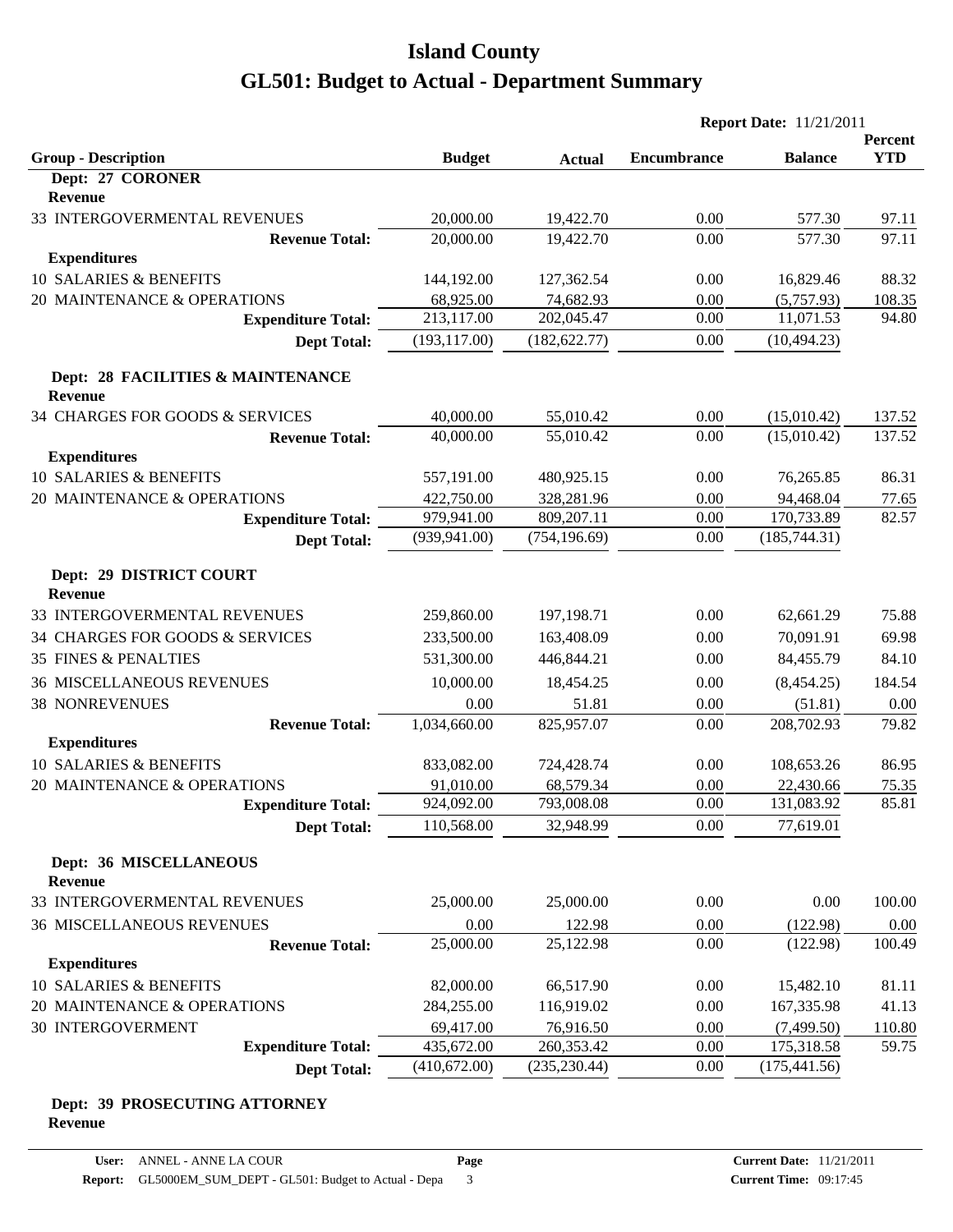|                                                     |               |               | <b>Report Date: 11/21/2011</b> |                |            |
|-----------------------------------------------------|---------------|---------------|--------------------------------|----------------|------------|
|                                                     |               |               |                                |                | Percent    |
| <b>Group - Description</b><br>Dept: 27 CORONER      | <b>Budget</b> | <b>Actual</b> | <b>Encumbrance</b>             | <b>Balance</b> | <b>YTD</b> |
| <b>Revenue</b>                                      |               |               |                                |                |            |
| 33 INTERGOVERMENTAL REVENUES                        | 20,000.00     | 19,422.70     | 0.00                           | 577.30         | 97.11      |
| <b>Revenue Total:</b>                               | 20,000.00     | 19,422.70     | 0.00                           | 577.30         | 97.11      |
| <b>Expenditures</b>                                 |               |               |                                |                |            |
| 10 SALARIES & BENEFITS                              | 144,192.00    | 127,362.54    | 0.00                           | 16,829.46      | 88.32      |
| 20 MAINTENANCE & OPERATIONS                         | 68,925.00     | 74,682.93     | 0.00                           | (5,757.93)     | 108.35     |
| <b>Expenditure Total:</b>                           | 213,117.00    | 202,045.47    | 0.00                           | 11,071.53      | 94.80      |
| <b>Dept Total:</b>                                  | (193, 117.00) | (182, 622.77) | 0.00                           | (10, 494.23)   |            |
| Dept: 28 FACILITIES & MAINTENANCE<br><b>Revenue</b> |               |               |                                |                |            |
| 34 CHARGES FOR GOODS & SERVICES                     | 40,000.00     | 55,010.42     | 0.00                           | (15,010.42)    | 137.52     |
| <b>Revenue Total:</b>                               | 40,000.00     | 55,010.42     | 0.00                           | (15,010.42)    | 137.52     |
| <b>Expenditures</b>                                 |               |               |                                |                |            |
| 10 SALARIES & BENEFITS                              | 557,191.00    | 480,925.15    | 0.00                           | 76,265.85      | 86.31      |
| 20 MAINTENANCE & OPERATIONS                         | 422,750.00    | 328,281.96    | 0.00                           | 94,468.04      | 77.65      |
| <b>Expenditure Total:</b>                           | 979,941.00    | 809,207.11    | 0.00                           | 170,733.89     | 82.57      |
| <b>Dept Total:</b>                                  | (939, 941.00) | (754, 196.69) | 0.00                           | (185, 744.31)  |            |
| Dept: 29 DISTRICT COURT<br>Revenue                  |               |               |                                |                |            |
| 33 INTERGOVERMENTAL REVENUES                        | 259,860.00    | 197,198.71    | 0.00                           | 62,661.29      | 75.88      |
| 34 CHARGES FOR GOODS & SERVICES                     | 233,500.00    | 163,408.09    | 0.00                           | 70,091.91      | 69.98      |
| <b>35 FINES &amp; PENALTIES</b>                     | 531,300.00    | 446,844.21    | 0.00                           | 84,455.79      | 84.10      |
| <b>36 MISCELLANEOUS REVENUES</b>                    | 10,000.00     | 18,454.25     | 0.00                           | (8,454.25)     | 184.54     |
| <b>38 NONREVENUES</b>                               | 0.00          | 51.81         | 0.00                           | (51.81)        | 0.00       |
| <b>Revenue Total:</b>                               | 1,034,660.00  | 825,957.07    | 0.00                           | 208,702.93     | 79.82      |
| <b>Expenditures</b>                                 |               |               |                                |                |            |
| 10 SALARIES & BENEFITS                              | 833,082.00    | 724,428.74    | 0.00                           | 108,653.26     | 86.95      |
| 20 MAINTENANCE & OPERATIONS                         | 91,010.00     | 68,579.34     | 0.00                           | 22,430.66      | 75.35      |
| <b>Expenditure Total:</b>                           | 924,092.00    | 793,008.08    | 0.00                           | 131,083.92     | 85.81      |
| <b>Dept Total:</b>                                  | 110,568.00    | 32,948.99     | 0.00                           | 77,619.01      |            |
| Dept: 36 MISCELLANEOUS<br><b>Revenue</b>            |               |               |                                |                |            |
| 33 INTERGOVERMENTAL REVENUES                        | 25,000.00     | 25,000.00     | 0.00                           | 0.00           | 100.00     |
| <b>36 MISCELLANEOUS REVENUES</b>                    | 0.00          | 122.98        | 0.00                           | (122.98)       | 0.00       |
| <b>Revenue Total:</b>                               | 25,000.00     | 25,122.98     | 0.00                           | (122.98)       | 100.49     |
| <b>Expenditures</b>                                 |               |               |                                |                |            |
| 10 SALARIES & BENEFITS                              | 82,000.00     | 66,517.90     | 0.00                           | 15,482.10      | 81.11      |
| 20 MAINTENANCE & OPERATIONS                         | 284,255.00    | 116,919.02    | 0.00                           | 167,335.98     | 41.13      |
| 30 INTERGOVERMENT                                   | 69,417.00     | 76,916.50     | 0.00                           | (7,499.50)     | 110.80     |
| <b>Expenditure Total:</b>                           | 435,672.00    | 260,353.42    | 0.00                           | 175,318.58     | 59.75      |
| <b>Dept Total:</b>                                  | (410,672.00)  | (235, 230.44) | 0.00                           | (175, 441.56)  |            |

#### **Dept: 39 PROSECUTING ATTORNEY Revenue**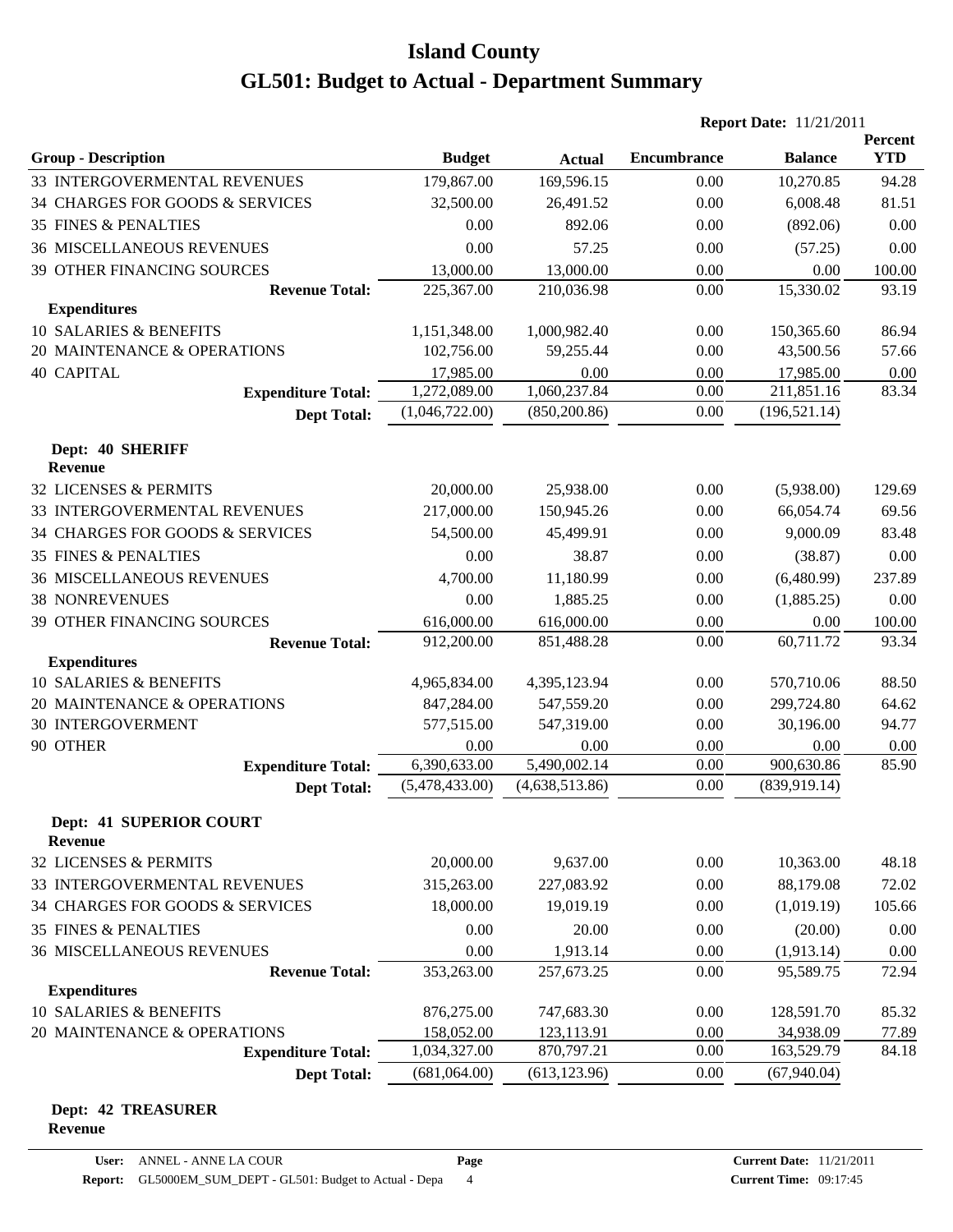|                                           |                |                | <b>Report Date: 11/21/2011</b> |                |                              |  |
|-------------------------------------------|----------------|----------------|--------------------------------|----------------|------------------------------|--|
| <b>Group - Description</b>                | <b>Budget</b>  | <b>Actual</b>  | <b>Encumbrance</b>             | <b>Balance</b> | <b>Percent</b><br><b>YTD</b> |  |
| 33 INTERGOVERMENTAL REVENUES              | 179,867.00     | 169,596.15     | 0.00                           | 10,270.85      | 94.28                        |  |
| 34 CHARGES FOR GOODS & SERVICES           | 32,500.00      | 26,491.52      | 0.00                           | 6,008.48       | 81.51                        |  |
| <b>35 FINES &amp; PENALTIES</b>           | 0.00           | 892.06         | 0.00                           | (892.06)       | 0.00                         |  |
| <b>36 MISCELLANEOUS REVENUES</b>          | 0.00           | 57.25          | 0.00                           | (57.25)        | 0.00                         |  |
| <b>39 OTHER FINANCING SOURCES</b>         | 13,000.00      | 13,000.00      | 0.00                           | 0.00           | 100.00                       |  |
| <b>Revenue Total:</b>                     | 225,367.00     | 210,036.98     | 0.00                           | 15,330.02      | 93.19                        |  |
| <b>Expenditures</b>                       |                |                |                                |                |                              |  |
| 10 SALARIES & BENEFITS                    | 1,151,348.00   | 1,000,982.40   | 0.00                           | 150,365.60     | 86.94                        |  |
| 20 MAINTENANCE & OPERATIONS               | 102,756.00     | 59,255.44      | 0.00                           | 43,500.56      | 57.66                        |  |
| <b>40 CAPITAL</b>                         | 17,985.00      | 0.00           | 0.00                           | 17,985.00      | 0.00                         |  |
| <b>Expenditure Total:</b>                 | 1,272,089.00   | 1,060,237.84   | 0.00                           | 211,851.16     | 83.34                        |  |
| <b>Dept Total:</b>                        | (1,046,722.00) | (850, 200.86)  | 0.00                           | (196, 521.14)  |                              |  |
| Dept: 40 SHERIFF                          |                |                |                                |                |                              |  |
| Revenue                                   |                |                |                                |                |                              |  |
| 32 LICENSES & PERMITS                     | 20,000.00      | 25,938.00      | 0.00                           | (5,938.00)     | 129.69                       |  |
| 33 INTERGOVERMENTAL REVENUES              | 217,000.00     | 150,945.26     | 0.00                           | 66,054.74      | 69.56                        |  |
| 34 CHARGES FOR GOODS & SERVICES           | 54,500.00      | 45,499.91      | 0.00                           | 9,000.09       | 83.48                        |  |
| <b>35 FINES &amp; PENALTIES</b>           | 0.00           | 38.87          | 0.00                           | (38.87)        | 0.00                         |  |
| <b>36 MISCELLANEOUS REVENUES</b>          | 4,700.00       | 11,180.99      | 0.00                           | (6,480.99)     | 237.89                       |  |
| <b>38 NONREVENUES</b>                     | 0.00           | 1,885.25       | 0.00                           | (1,885.25)     | 0.00                         |  |
| 39 OTHER FINANCING SOURCES                | 616,000.00     | 616,000.00     | 0.00                           | 0.00           | 100.00                       |  |
| <b>Revenue Total:</b>                     | 912,200.00     | 851,488.28     | 0.00                           | 60,711.72      | 93.34                        |  |
| <b>Expenditures</b>                       |                |                |                                |                |                              |  |
| 10 SALARIES & BENEFITS                    | 4,965,834.00   | 4,395,123.94   | 0.00                           | 570,710.06     | 88.50                        |  |
| 20 MAINTENANCE & OPERATIONS               | 847,284.00     | 547,559.20     | 0.00                           | 299,724.80     | 64.62                        |  |
| <b>30 INTERGOVERMENT</b>                  | 577,515.00     | 547,319.00     | 0.00                           | 30,196.00      | 94.77                        |  |
| 90 OTHER                                  | 0.00           | 0.00           | 0.00                           | 0.00           | 0.00                         |  |
| <b>Expenditure Total:</b>                 | 6,390,633.00   | 5,490,002.14   | 0.00                           | 900,630.86     | 85.90                        |  |
| <b>Dept Total:</b>                        | (5,478,433.00) | (4,638,513.86) | 0.00                           | (839, 919.14)  |                              |  |
| <b>Dept: 41 SUPERIOR COURT</b><br>Revenue |                |                |                                |                |                              |  |
| 32 LICENSES & PERMITS                     | 20,000.00      | 9,637.00       | 0.00                           | 10,363.00      | 48.18                        |  |
| 33 INTERGOVERMENTAL REVENUES              | 315,263.00     | 227,083.92     | 0.00                           | 88,179.08      | 72.02                        |  |
| 34 CHARGES FOR GOODS & SERVICES           | 18,000.00      | 19,019.19      | 0.00                           | (1,019.19)     | 105.66                       |  |
| <b>35 FINES &amp; PENALTIES</b>           | 0.00           | 20.00          | 0.00                           | (20.00)        | 0.00                         |  |
| <b>36 MISCELLANEOUS REVENUES</b>          | 0.00           | 1,913.14       | 0.00                           | (1,913.14)     | 0.00                         |  |
| <b>Revenue Total:</b>                     | 353,263.00     | 257,673.25     | 0.00                           | 95,589.75      | 72.94                        |  |
| <b>Expenditures</b>                       |                |                |                                |                |                              |  |
| 10 SALARIES & BENEFITS                    | 876,275.00     | 747,683.30     | 0.00                           | 128,591.70     | 85.32                        |  |
| 20 MAINTENANCE & OPERATIONS               | 158,052.00     | 123,113.91     | 0.00                           | 34,938.09      | 77.89                        |  |
| <b>Expenditure Total:</b>                 | 1,034,327.00   | 870,797.21     | 0.00                           | 163,529.79     | 84.18                        |  |
| <b>Dept Total:</b>                        | (681,064.00)   | (613, 123.96)  | 0.00                           | (67,940.04)    |                              |  |
|                                           |                |                |                                |                |                              |  |

#### **Dept: 42 TREASURER Revenue**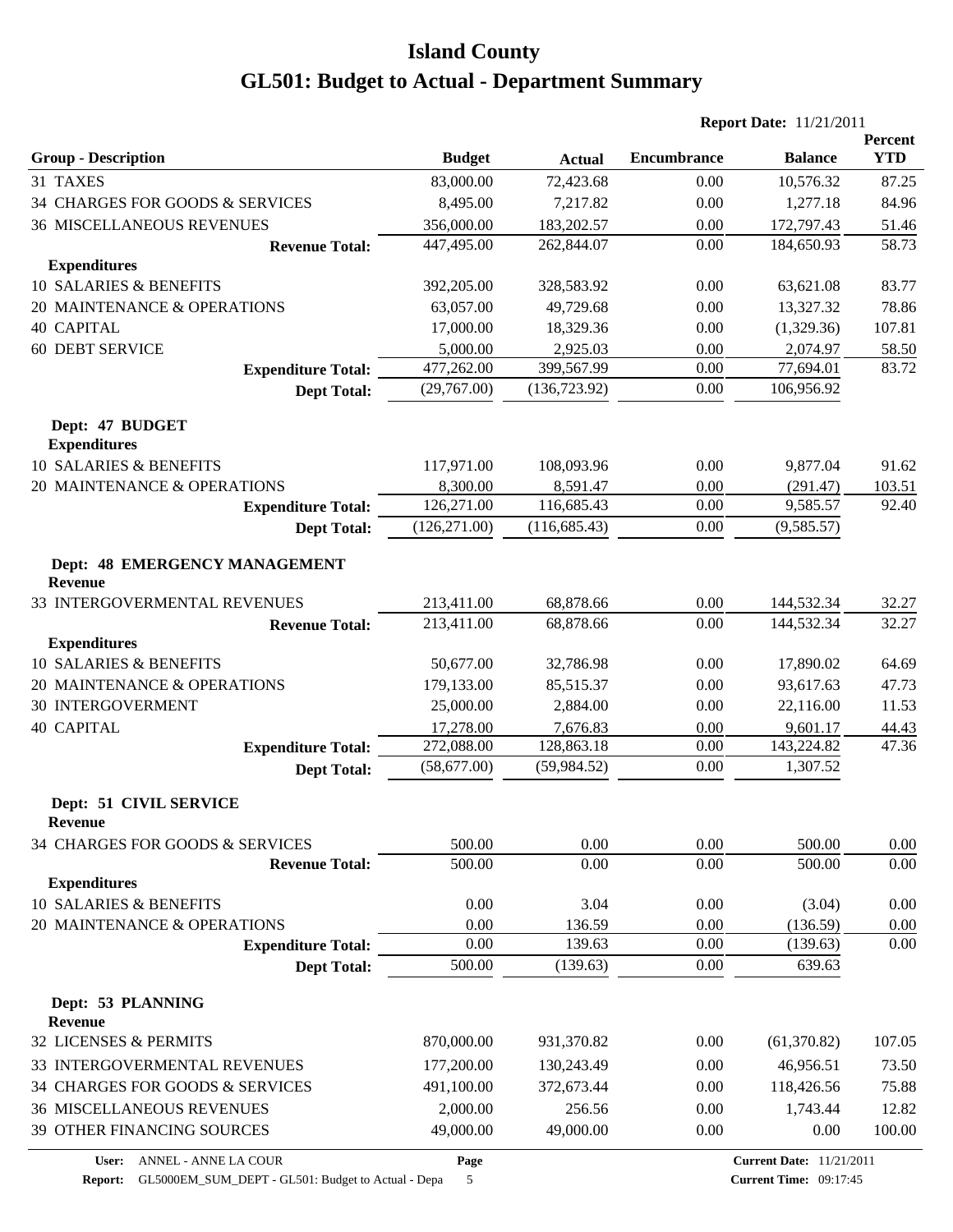|                                                 |               |               | <b>Report Date: 11/21/2011</b> |                |                       |
|-------------------------------------------------|---------------|---------------|--------------------------------|----------------|-----------------------|
| <b>Group - Description</b>                      | <b>Budget</b> | <b>Actual</b> | <b>Encumbrance</b>             | <b>Balance</b> | Percent<br><b>YTD</b> |
| 31 TAXES                                        | 83,000.00     | 72,423.68     | 0.00                           | 10,576.32      | 87.25                 |
| 34 CHARGES FOR GOODS & SERVICES                 | 8,495.00      | 7,217.82      | 0.00                           | 1,277.18       | 84.96                 |
| <b>36 MISCELLANEOUS REVENUES</b>                | 356,000.00    | 183,202.57    | 0.00                           | 172,797.43     | 51.46                 |
| <b>Revenue Total:</b>                           | 447,495.00    | 262,844.07    | 0.00                           | 184,650.93     | 58.73                 |
| <b>Expenditures</b>                             |               |               |                                |                |                       |
| 10 SALARIES & BENEFITS                          | 392,205.00    | 328,583.92    | 0.00                           | 63,621.08      | 83.77                 |
| 20 MAINTENANCE & OPERATIONS                     | 63,057.00     | 49,729.68     | 0.00                           | 13,327.32      | 78.86                 |
| <b>40 CAPITAL</b>                               | 17,000.00     | 18,329.36     | 0.00                           | (1,329.36)     | 107.81                |
| <b>60 DEBT SERVICE</b>                          | 5,000.00      | 2,925.03      | 0.00                           | 2,074.97       | 58.50                 |
| <b>Expenditure Total:</b>                       | 477,262.00    | 399,567.99    | 0.00                           | 77,694.01      | 83.72                 |
| <b>Dept Total:</b>                              | (29,767.00)   | (136, 723.92) | 0.00                           | 106,956.92     |                       |
| Dept: 47 BUDGET<br><b>Expenditures</b>          |               |               |                                |                |                       |
| 10 SALARIES & BENEFITS                          | 117,971.00    | 108,093.96    | 0.00                           | 9,877.04       | 91.62                 |
| 20 MAINTENANCE & OPERATIONS                     | 8,300.00      | 8,591.47      | 0.00                           | (291.47)       | 103.51                |
| <b>Expenditure Total:</b>                       | 126,271.00    | 116,685.43    | 0.00                           | 9,585.57       | 92.40                 |
| <b>Dept Total:</b>                              | (126, 271.00) | (116, 685.43) | 0.00                           | (9,585.57)     |                       |
| Dept: 48 EMERGENCY MANAGEMENT<br><b>Revenue</b> |               |               |                                |                |                       |
| 33 INTERGOVERMENTAL REVENUES                    | 213,411.00    | 68,878.66     | 0.00                           | 144,532.34     | 32.27                 |
| <b>Revenue Total:</b>                           | 213,411.00    | 68,878.66     | 0.00                           | 144,532.34     | 32.27                 |
| <b>Expenditures</b>                             |               |               |                                |                |                       |
| 10 SALARIES & BENEFITS                          | 50,677.00     | 32,786.98     | 0.00                           | 17,890.02      | 64.69                 |
| 20 MAINTENANCE & OPERATIONS                     | 179,133.00    | 85,515.37     | 0.00                           | 93,617.63      | 47.73                 |
| <b>30 INTERGOVERMENT</b>                        | 25,000.00     | 2,884.00      | 0.00                           | 22,116.00      | 11.53                 |
| <b>40 CAPITAL</b>                               | 17,278.00     | 7,676.83      | 0.00                           | 9,601.17       | 44.43                 |
| <b>Expenditure Total:</b>                       | 272,088.00    | 128,863.18    | 0.00                           | 143,224.82     | 47.36                 |
| <b>Dept Total:</b>                              | (58,677.00)   | (59, 984.52)  | 0.00                           | 1,307.52       |                       |
| Dept: 51 CIVIL SERVICE<br><b>Revenue</b>        |               |               |                                |                |                       |
| 34 CHARGES FOR GOODS & SERVICES                 | 500.00        | 0.00          | 0.00                           | 500.00         | 0.00                  |
| <b>Revenue Total:</b><br><b>Expenditures</b>    | 500.00        | 0.00          | 0.00                           | 500.00         | 0.00                  |
| 10 SALARIES & BENEFITS                          | 0.00          | 3.04          | 0.00                           | (3.04)         | 0.00                  |
| 20 MAINTENANCE & OPERATIONS                     | 0.00          | 136.59        | 0.00                           | (136.59)       | 0.00                  |
| <b>Expenditure Total:</b>                       | 0.00          | 139.63        | 0.00                           | (139.63)       | 0.00                  |
| <b>Dept Total:</b>                              | 500.00        | (139.63)      | 0.00                           | 639.63         |                       |
| Dept: 53 PLANNING<br><b>Revenue</b>             |               |               |                                |                |                       |
| 32 LICENSES & PERMITS                           | 870,000.00    | 931,370.82    | 0.00                           | (61, 370.82)   | 107.05                |
| 33 INTERGOVERMENTAL REVENUES                    | 177,200.00    | 130,243.49    | 0.00                           | 46,956.51      | 73.50                 |
| 34 CHARGES FOR GOODS & SERVICES                 | 491,100.00    | 372,673.44    | 0.00                           | 118,426.56     | 75.88                 |
| <b>36 MISCELLANEOUS REVENUES</b>                | 2,000.00      | 256.56        | 0.00                           | 1,743.44       | 12.82                 |
| 39 OTHER FINANCING SOURCES                      | 49,000.00     | 49,000.00     | 0.00                           | 0.00           | 100.00                |
|                                                 |               |               |                                |                |                       |

**Page**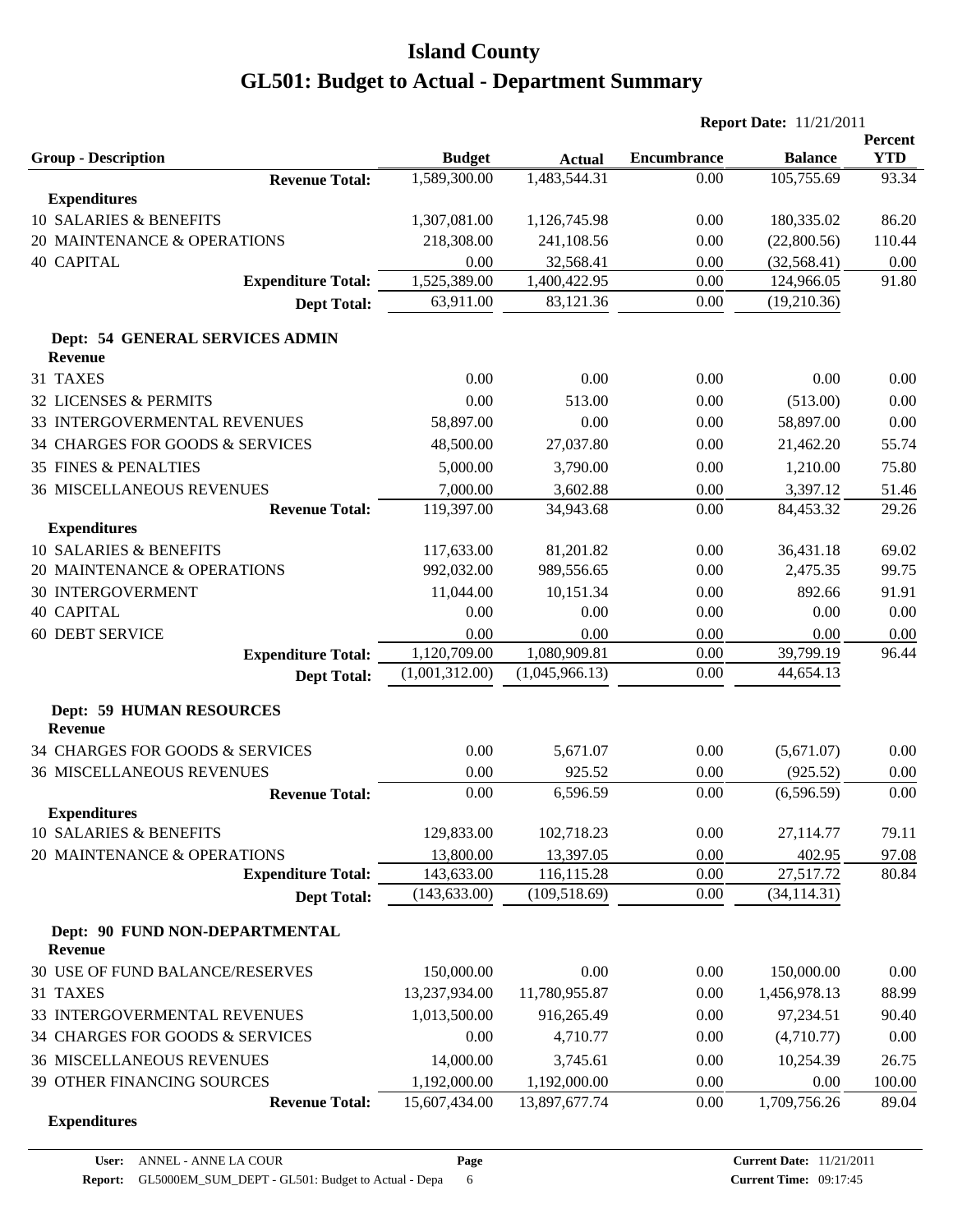|                                                   |                   |                      | <b>Report Date: 11/21/2011</b> |                       |                       |  |
|---------------------------------------------------|-------------------|----------------------|--------------------------------|-----------------------|-----------------------|--|
| <b>Group - Description</b>                        | <b>Budget</b>     | <b>Actual</b>        | <b>Encumbrance</b>             | <b>Balance</b>        | Percent<br><b>YTD</b> |  |
| <b>Revenue Total:</b><br><b>Expenditures</b>      | 1,589,300.00      | 1,483,544.31         | 0.00                           | 105,755.69            | 93.34                 |  |
| 10 SALARIES & BENEFITS                            | 1,307,081.00      | 1,126,745.98         | 0.00                           | 180,335.02            | 86.20                 |  |
| 20 MAINTENANCE & OPERATIONS                       | 218,308.00        | 241,108.56           | 0.00                           | (22,800.56)           | 110.44                |  |
| <b>40 CAPITAL</b>                                 | 0.00              | 32,568.41            | 0.00                           | (32, 568.41)          | 0.00                  |  |
| <b>Expenditure Total:</b>                         | 1,525,389.00      | 1,400,422.95         | 0.00                           | 124,966.05            | 91.80                 |  |
| <b>Dept Total:</b>                                | 63,911.00         | 83,121.36            | 0.00                           | (19,210.36)           |                       |  |
| Dept: 54 GENERAL SERVICES ADMIN<br><b>Revenue</b> |                   |                      |                                |                       |                       |  |
| 31 TAXES                                          | 0.00              | 0.00                 | 0.00                           | 0.00                  | 0.00                  |  |
| 32 LICENSES & PERMITS                             | 0.00              | 513.00               | 0.00                           | (513.00)              | 0.00                  |  |
| <b>33 INTERGOVERMENTAL REVENUES</b>               | 58,897.00         | 0.00                 | 0.00                           | 58,897.00             | 0.00                  |  |
|                                                   |                   |                      |                                |                       |                       |  |
| 34 CHARGES FOR GOODS & SERVICES                   | 48,500.00         | 27,037.80            | 0.00                           | 21,462.20             | 55.74                 |  |
| <b>35 FINES &amp; PENALTIES</b>                   | 5,000.00          | 3,790.00             | 0.00                           | 1,210.00              | 75.80                 |  |
| <b>36 MISCELLANEOUS REVENUES</b>                  | 7,000.00          | 3,602.88             | 0.00                           | 3,397.12              | 51.46                 |  |
| <b>Revenue Total:</b>                             | 119,397.00        | 34,943.68            | 0.00                           | 84,453.32             | 29.26                 |  |
| <b>Expenditures</b><br>10 SALARIES & BENEFITS     | 117,633.00        | 81,201.82            | 0.00                           |                       |                       |  |
| 20 MAINTENANCE & OPERATIONS                       | 992,032.00        | 989,556.65           | 0.00                           | 36,431.18<br>2,475.35 | 69.02                 |  |
|                                                   |                   |                      |                                |                       | 99.75                 |  |
| <b>30 INTERGOVERMENT</b><br><b>40 CAPITAL</b>     | 11,044.00<br>0.00 | 10,151.34<br>0.00    | 0.00<br>0.00                   | 892.66<br>0.00        | 91.91                 |  |
|                                                   | 0.00              |                      | 0.00                           |                       | 0.00                  |  |
| <b>60 DEBT SERVICE</b>                            | 1,120,709.00      | 0.00<br>1,080,909.81 | 0.00                           | 0.00<br>39,799.19     | 0.00<br>96.44         |  |
| <b>Expenditure Total:</b><br><b>Dept Total:</b>   | (1,001,312.00)    | (1,045,966.13)       | 0.00                           | 44,654.13             |                       |  |
|                                                   |                   |                      |                                |                       |                       |  |
| <b>Dept: 59 HUMAN RESOURCES</b><br><b>Revenue</b> |                   |                      |                                |                       |                       |  |
| 34 CHARGES FOR GOODS & SERVICES                   | 0.00              | 5,671.07             | 0.00                           | (5,671.07)            | 0.00                  |  |
| <b>36 MISCELLANEOUS REVENUES</b>                  | 0.00              | 925.52               | 0.00                           | (925.52)              | 0.00                  |  |
| <b>Revenue Total:</b>                             | 0.00              | 6,596.59             | 0.00                           | (6,596.59)            | 0.00                  |  |
| <b>Expenditures</b>                               |                   |                      |                                |                       |                       |  |
| 10 SALARIES & BENEFITS                            | 129,833.00        | 102,718.23           | 0.00                           | 27,114.77             | 79.11                 |  |
| 20 MAINTENANCE & OPERATIONS                       | 13,800.00         | 13,397.05            | 0.00                           | 402.95                | 97.08                 |  |
| <b>Expenditure Total:</b>                         | 143,633.00        | 116,115.28           | 0.00                           | 27,517.72             | 80.84                 |  |
| <b>Dept Total:</b>                                | (143, 633.00)     | (109, 518.69)        | 0.00                           | (34, 114.31)          |                       |  |
| Dept: 90 FUND NON-DEPARTMENTAL<br><b>Revenue</b>  |                   |                      |                                |                       |                       |  |
| 30 USE OF FUND BALANCE/RESERVES                   | 150,000.00        | 0.00                 | 0.00                           | 150,000.00            | 0.00                  |  |
| 31 TAXES                                          | 13,237,934.00     | 11,780,955.87        | 0.00                           | 1,456,978.13          | 88.99                 |  |
| 33 INTERGOVERMENTAL REVENUES                      | 1,013,500.00      | 916,265.49           | 0.00                           | 97,234.51             | 90.40                 |  |
| 34 CHARGES FOR GOODS & SERVICES                   | 0.00              | 4,710.77             | 0.00                           | (4,710.77)            | 0.00                  |  |
| <b>36 MISCELLANEOUS REVENUES</b>                  | 14,000.00         | 3,745.61             | 0.00                           | 10,254.39             | 26.75                 |  |
| 39 OTHER FINANCING SOURCES                        | 1,192,000.00      | 1,192,000.00         | 0.00                           | 0.00                  | 100.00                |  |
| <b>Revenue Total:</b>                             | 15,607,434.00     | 13,897,677.74        | 0.00                           | 1,709,756.26          | 89.04                 |  |
| <b>Expenditures</b>                               |                   |                      |                                |                       |                       |  |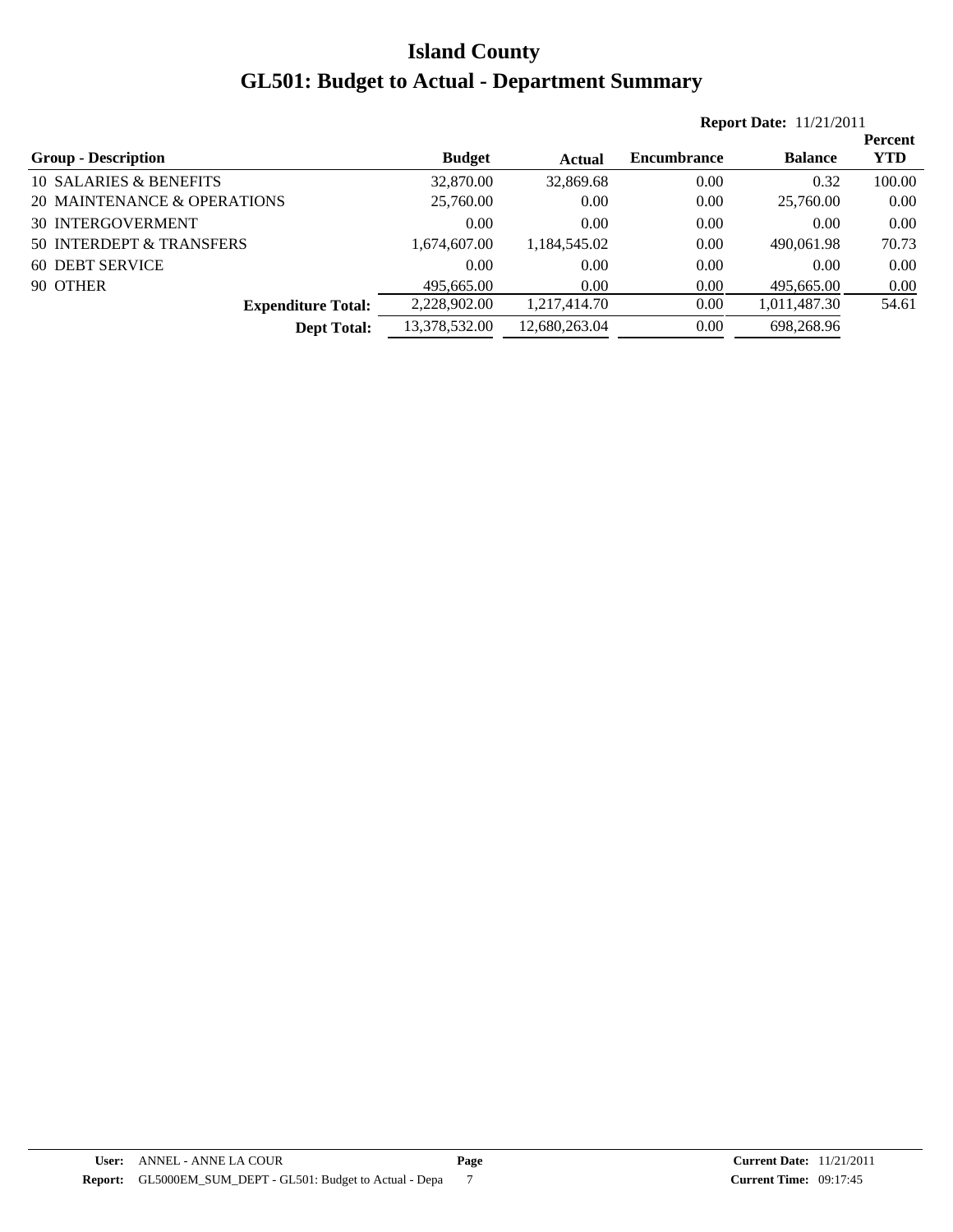|                             |               |               |                    | <b>Report Date: 11/21/2011</b> |                |  |  |  |
|-----------------------------|---------------|---------------|--------------------|--------------------------------|----------------|--|--|--|
|                             |               |               |                    |                                | <b>Percent</b> |  |  |  |
| <b>Group - Description</b>  | <b>Budget</b> | <b>Actual</b> | <b>Encumbrance</b> | <b>Balance</b>                 | <b>YTD</b>     |  |  |  |
| 10 SALARIES & BENEFITS      | 32,870.00     | 32,869.68     | 0.00               | 0.32                           | 100.00         |  |  |  |
| 20 MAINTENANCE & OPERATIONS | 25,760.00     | 0.00          | 0.00               | 25,760.00                      | 0.00           |  |  |  |
| <b>30 INTERGOVERMENT</b>    | 0.00          | 0.00          | 0.00               | 0.00                           | 0.00           |  |  |  |
| 50 INTERDEPT & TRANSFERS    | 1,674,607.00  | 1.184.545.02  | 0.00               | 490,061.98                     | 70.73          |  |  |  |
| 60 DEBT SERVICE             | 0.00          | 0.00          | 0.00               | 0.00                           | 0.00           |  |  |  |
| 90 OTHER                    | 495,665.00    | 0.00          | 0.00               | 495,665.00                     | 0.00           |  |  |  |
| <b>Expenditure Total:</b>   | 2,228,902.00  | 1,217,414.70  | 0.00               | 1,011,487.30                   | 54.61          |  |  |  |
| <b>Dept Total:</b>          | 13,378,532.00 | 12,680,263.04 | 0.00               | 698,268.96                     |                |  |  |  |
|                             |               |               |                    |                                |                |  |  |  |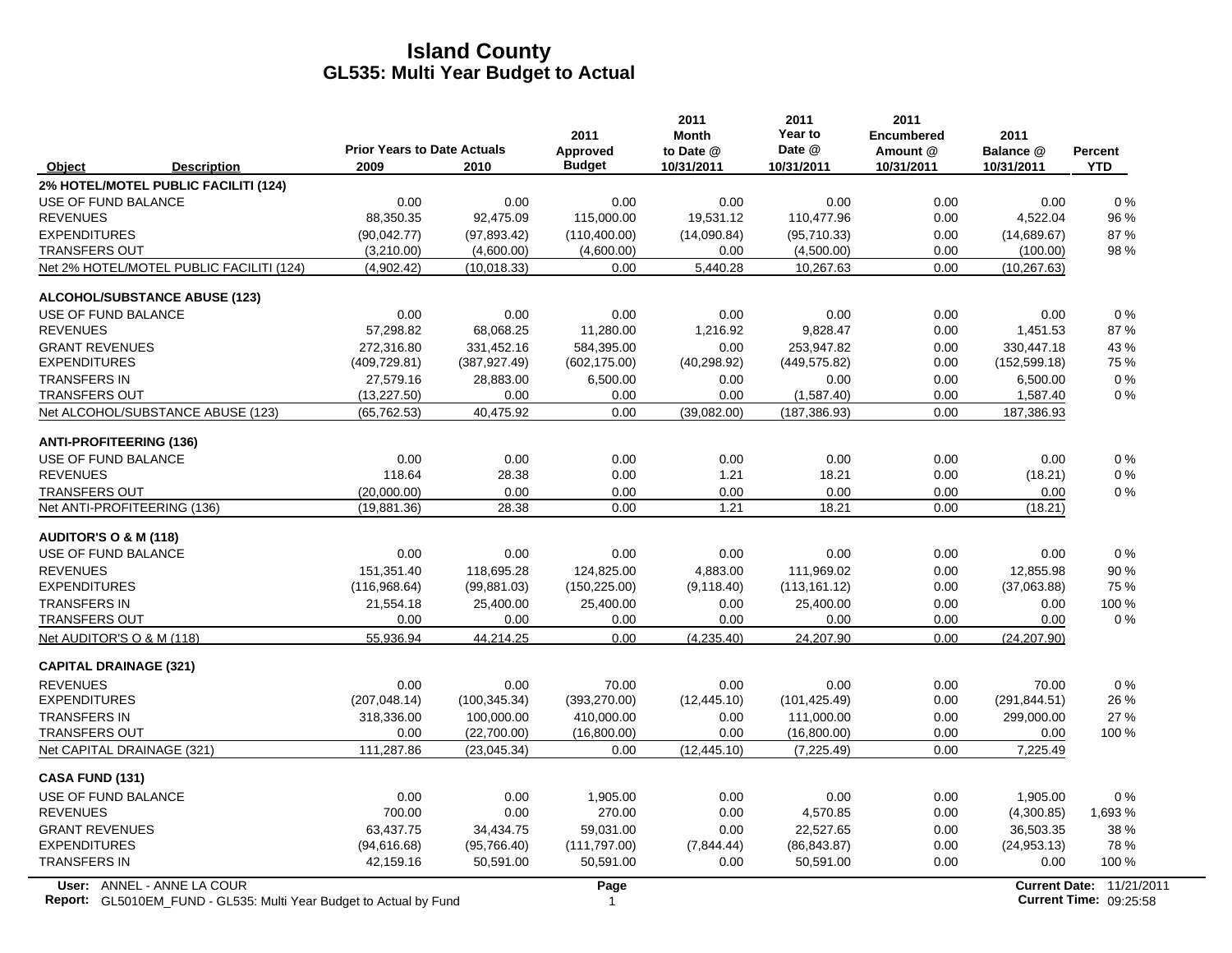|                                                                                                  | <b>Prior Years to Date Actuals</b> |               | 2011<br>Approved | 2011<br><b>Month</b><br>to Date @ | 2011<br>Year to<br>Date @ | 2011<br><b>Encumbered</b><br>Amount @ | 2011<br>Balance @ | <b>Percent</b>                                            |
|--------------------------------------------------------------------------------------------------|------------------------------------|---------------|------------------|-----------------------------------|---------------------------|---------------------------------------|-------------------|-----------------------------------------------------------|
| Object<br><b>Description</b>                                                                     | 2009                               | 2010          | <b>Budget</b>    | 10/31/2011                        | 10/31/2011                | 10/31/2011                            | 10/31/2011        | <b>YTD</b>                                                |
| 2% HOTEL/MOTEL PUBLIC FACILITI (124)                                                             |                                    |               |                  |                                   |                           |                                       |                   |                                                           |
| USE OF FUND BALANCE                                                                              | 0.00                               | 0.00          | 0.00             | 0.00                              | 0.00                      | 0.00                                  | 0.00              | 0%                                                        |
| <b>REVENUES</b>                                                                                  | 88,350.35                          | 92,475.09     | 115,000.00       | 19,531.12                         | 110,477.96                | 0.00                                  | 4,522.04          | 96 %                                                      |
| <b>EXPENDITURES</b>                                                                              | (90,042.77)                        | (97, 893.42)  | (110,400.00)     | (14,090.84)                       | (95,710.33)               | 0.00                                  | (14,689.67)       | 87%                                                       |
| <b>TRANSFERS OUT</b>                                                                             | (3,210.00)                         | (4,600.00)    | (4,600.00)       | 0.00                              | (4,500.00)                | 0.00                                  | (100.00)          | 98 %                                                      |
| Net 2% HOTEL/MOTEL PUBLIC FACILITI (124)                                                         | (4,902.42)                         | (10, 018.33)  | 0.00             | 5,440.28                          | 10,267.63                 | 0.00                                  | (10, 267.63)      |                                                           |
| <b>ALCOHOL/SUBSTANCE ABUSE (123)</b>                                                             |                                    |               |                  |                                   |                           |                                       |                   |                                                           |
| USE OF FUND BALANCE                                                                              | 0.00                               | 0.00          | 0.00             | 0.00                              | 0.00                      | 0.00                                  | 0.00              | 0%                                                        |
| <b>REVENUES</b>                                                                                  | 57,298.82                          | 68,068.25     | 11,280.00        | 1,216.92                          | 9,828.47                  | 0.00                                  | 1,451.53          | 87%                                                       |
| <b>GRANT REVENUES</b>                                                                            | 272,316.80                         | 331,452.16    | 584,395.00       | 0.00                              | 253,947.82                | 0.00                                  | 330,447.18        | 43 %                                                      |
| <b>EXPENDITURES</b>                                                                              | (409, 729.81)                      | (387, 927.49) | (602, 175.00)    | (40, 298.92)                      | (449, 575.82)             | 0.00                                  | (152, 599.18)     | 75 %                                                      |
| <b>TRANSFERS IN</b>                                                                              | 27,579.16                          | 28,883.00     | 6,500.00         | 0.00                              | 0.00                      | 0.00                                  | 6,500.00          | $0\%$                                                     |
| <b>TRANSFERS OUT</b>                                                                             | (13, 227.50)                       | 0.00          | 0.00             | 0.00                              | (1,587.40)                | 0.00                                  | 1,587.40          | $0\%$                                                     |
| Net ALCOHOL/SUBSTANCE ABUSE (123)                                                                | (65, 762.53)                       | 40,475.92     | 0.00             | (39,082.00)                       | (187, 386.93)             | 0.00                                  | 187,386.93        |                                                           |
| <b>ANTI-PROFITEERING (136)</b>                                                                   |                                    |               |                  |                                   |                           |                                       |                   |                                                           |
| USE OF FUND BALANCE                                                                              | 0.00                               | 0.00          | 0.00             | 0.00                              | 0.00                      | 0.00                                  | 0.00              | 0%                                                        |
| <b>REVENUES</b>                                                                                  | 118.64                             | 28.38         | 0.00             | 1.21                              | 18.21                     | 0.00                                  | (18.21)           | $0\%$                                                     |
| <b>TRANSFERS OUT</b>                                                                             | (20,000.00)                        | 0.00          | 0.00             | 0.00                              | 0.00                      | 0.00                                  | 0.00              | $0\%$                                                     |
| Net ANTI-PROFITEERING (136)                                                                      | (19, 881.36)                       | 28.38         | 0.00             | 1.21                              | 18.21                     | 0.00                                  | (18.21)           |                                                           |
| <b>AUDITOR'S O &amp; M (118)</b>                                                                 |                                    |               |                  |                                   |                           |                                       |                   |                                                           |
| USE OF FUND BALANCE                                                                              | 0.00                               | 0.00          | 0.00             | 0.00                              | 0.00                      | 0.00                                  | 0.00              | $0\%$                                                     |
| <b>REVENUES</b>                                                                                  | 151,351.40                         | 118,695.28    | 124,825.00       | 4,883.00                          | 111,969.02                | 0.00                                  | 12,855.98         | 90%                                                       |
| <b>EXPENDITURES</b>                                                                              | (116,968.64)                       | (99, 881.03)  | (150, 225.00)    | (9, 118.40)                       | (113, 161.12)             | 0.00                                  | (37,063.88)       | 75 %                                                      |
| <b>TRANSFERS IN</b>                                                                              | 21,554.18                          | 25,400.00     | 25,400.00        | 0.00                              | 25,400.00                 | 0.00                                  | 0.00              | 100 %                                                     |
| <b>TRANSFERS OUT</b>                                                                             | 0.00                               | 0.00          | 0.00             | 0.00                              | 0.00                      | 0.00                                  | 0.00              | $0\%$                                                     |
| Net AUDITOR'S O & M (118)                                                                        | 55,936.94                          | 44,214.25     | 0.00             | (4,235.40)                        | 24,207.90                 | 0.00                                  | (24, 207.90)      |                                                           |
| <b>CAPITAL DRAINAGE (321)</b>                                                                    |                                    |               |                  |                                   |                           |                                       |                   |                                                           |
| <b>REVENUES</b>                                                                                  | 0.00                               | 0.00          | 70.00            | 0.00                              | 0.00                      | 0.00                                  | 70.00             | 0%                                                        |
| <b>EXPENDITURES</b>                                                                              | (207, 048.14)                      | (100, 345.34) | (393, 270.00)    | (12, 445.10)                      | (101, 425.49)             | 0.00                                  | (291, 844.51)     | 26 %                                                      |
| <b>TRANSFERS IN</b>                                                                              | 318,336.00                         | 100,000.00    | 410,000.00       | 0.00                              | 111,000.00                | 0.00                                  | 299,000.00        | 27 %                                                      |
| <b>TRANSFERS OUT</b>                                                                             | 0.00                               | (22,700.00)   | (16,800.00)      | 0.00                              | (16,800.00)               | 0.00                                  | 0.00              | 100 %                                                     |
| Net CAPITAL DRAINAGE (321)                                                                       | 111,287.86                         | (23, 045.34)  | 0.00             | (12, 445.10)                      | (7, 225.49)               | 0.00                                  | 7,225.49          |                                                           |
| <b>CASA FUND (131)</b>                                                                           |                                    |               |                  |                                   |                           |                                       |                   |                                                           |
| USE OF FUND BALANCE                                                                              | 0.00                               | 0.00          | 1,905.00         | 0.00                              | 0.00                      | 0.00                                  | 1,905.00          | 0%                                                        |
| <b>REVENUES</b>                                                                                  | 700.00                             | 0.00          | 270.00           | 0.00                              | 4,570.85                  | 0.00                                  | (4,300.85)        | 1,693 %                                                   |
| <b>GRANT REVENUES</b>                                                                            | 63,437.75                          | 34,434.75     | 59,031.00        | 0.00                              | 22,527.65                 | 0.00                                  | 36,503.35         | 38 %                                                      |
| <b>EXPENDITURES</b>                                                                              | (94, 616.68)                       | (95,766.40)   | (111,797.00)     | (7,844.44)                        | (86, 843.87)              | 0.00                                  | (24, 953.13)      | 78%                                                       |
| <b>TRANSFERS IN</b>                                                                              | 42,159.16                          | 50,591.00     | 50,591.00        | 0.00                              | 50,591.00                 | 0.00                                  | 0.00              | 100 %                                                     |
| User: ANNEL - ANNE LA COUR<br>Report: GL5010EM_FUND - GL535: Multi Year Budget to Actual by Fund |                                    |               | Page<br>1        |                                   |                           |                                       |                   | Current Date: 11/21/2011<br><b>Current Time: 09:25:58</b> |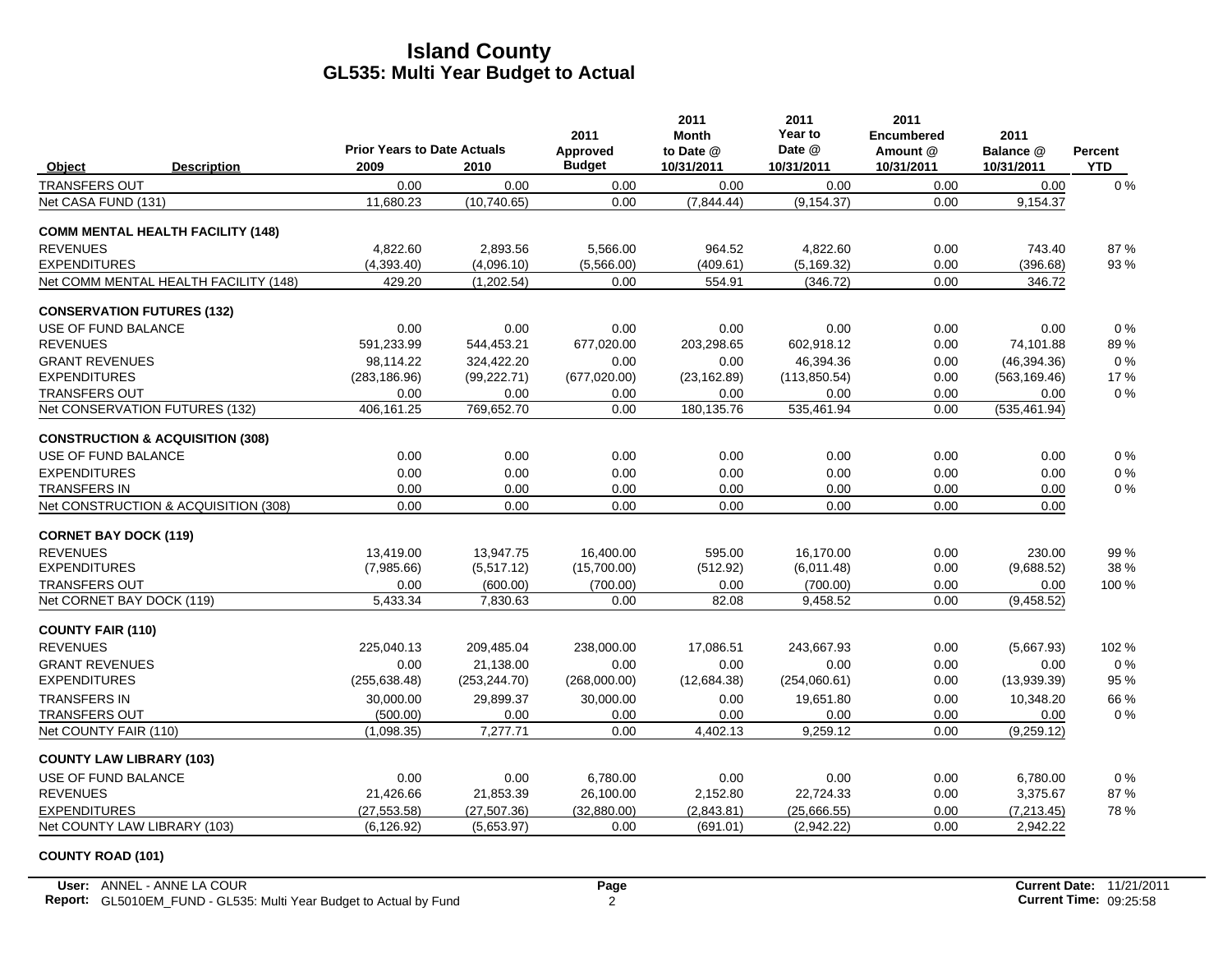|                                 |                                             | <b>Prior Years to Date Actuals</b> |               | 2011                      | 2011<br>Month           | 2011<br>Year to<br>Date @ | 2011<br><b>Encumbered</b> | 2011                    |                       |
|---------------------------------|---------------------------------------------|------------------------------------|---------------|---------------------------|-------------------------|---------------------------|---------------------------|-------------------------|-----------------------|
| Object                          | <b>Description</b>                          | 2009                               | 2010          | Approved<br><b>Budget</b> | to Date @<br>10/31/2011 | 10/31/2011                | Amount @<br>10/31/2011    | Balance @<br>10/31/2011 | Percent<br><b>YTD</b> |
| <b>TRANSFERS OUT</b>            |                                             | 0.00                               | 0.00          | 0.00                      | 0.00                    | 0.00                      | 0.00                      | 0.00                    | 0%                    |
| Net CASA FUND (131)             |                                             | 11,680.23                          | (10,740.65)   | 0.00                      | (7,844.44)              | (9, 154.37)               | 0.00                      | 9,154.37                |                       |
|                                 | <b>COMM MENTAL HEALTH FACILITY (148)</b>    |                                    |               |                           |                         |                           |                           |                         |                       |
| <b>REVENUES</b>                 |                                             | 4.822.60                           | 2,893.56      | 5,566.00                  | 964.52                  | 4,822.60                  | 0.00                      | 743.40                  | 87%                   |
| <b>EXPENDITURES</b>             |                                             | (4,393.40)                         | (4,096.10)    | (5,566.00)                | (409.61)                | (5, 169.32)               | 0.00                      | (396.68)                | 93 %                  |
|                                 | Net COMM MENTAL HEALTH FACILITY (148)       | 429.20                             | (1, 202.54)   | 0.00                      | 554.91                  | (346.72)                  | 0.00                      | 346.72                  |                       |
|                                 | <b>CONSERVATION FUTURES (132)</b>           |                                    |               |                           |                         |                           |                           |                         |                       |
| USE OF FUND BALANCE             |                                             | 0.00                               | 0.00          | 0.00                      | 0.00                    | 0.00                      | 0.00                      | 0.00                    | 0%                    |
| <b>REVENUES</b>                 |                                             | 591,233.99                         | 544,453.21    | 677,020.00                | 203,298.65              | 602,918.12                | 0.00                      | 74,101.88               | 89%                   |
| <b>GRANT REVENUES</b>           |                                             | 98,114.22                          | 324,422.20    | 0.00                      | 0.00                    | 46,394.36                 | 0.00                      | (46, 394.36)            | 0%                    |
| <b>EXPENDITURES</b>             |                                             | (283, 186.96)                      | (99, 222.71)  | (677, 020.00)             | (23, 162.89)            | (113, 850.54)             | 0.00                      | (563, 169.46)           | 17 %                  |
| <b>TRANSFERS OUT</b>            |                                             | 0.00                               | 0.00          | 0.00                      | 0.00                    | 0.00                      | 0.00                      | 0.00                    | 0%                    |
|                                 | Net CONSERVATION FUTURES (132)              | 406.161.25                         | 769.652.70    | 0.00                      | 180,135.76              | 535.461.94                | 0.00                      | (535, 461.94)           |                       |
|                                 | <b>CONSTRUCTION &amp; ACQUISITION (308)</b> |                                    |               |                           |                         |                           |                           |                         |                       |
| USE OF FUND BALANCE             |                                             | 0.00                               | 0.00          | 0.00                      | 0.00                    | 0.00                      | 0.00                      | 0.00                    | 0%                    |
| <b>EXPENDITURES</b>             |                                             | 0.00                               | 0.00          | 0.00                      | 0.00                    | 0.00                      | 0.00                      | 0.00                    | 0%                    |
| TRANSFERS IN                    |                                             | 0.00                               | 0.00          | 0.00                      | 0.00                    | 0.00                      | 0.00                      | 0.00                    | $0\%$                 |
|                                 | Net CONSTRUCTION & ACQUISITION (308)        | 0.00                               | 0.00          | 0.00                      | 0.00                    | 0.00                      | 0.00                      | 0.00                    |                       |
| <b>CORNET BAY DOCK (119)</b>    |                                             |                                    |               |                           |                         |                           |                           |                         |                       |
| <b>REVENUES</b>                 |                                             | 13,419.00                          | 13,947.75     | 16,400.00                 | 595.00                  | 16.170.00                 | 0.00                      | 230.00                  | 99%                   |
| <b>EXPENDITURES</b>             |                                             | (7,985.66)                         | (5,517.12)    | (15,700.00)               | (512.92)                | (6,011.48)                | 0.00                      | (9,688.52)              | 38 %                  |
| <b>TRANSFERS OUT</b>            |                                             | 0.00                               | (600.00)      | (700.00)                  | 0.00                    | (700.00)                  | 0.00                      | 0.00                    | 100 %                 |
| Net CORNET BAY DOCK (119)       |                                             | 5,433.34                           | 7,830.63      | 0.00                      | 82.08                   | 9,458.52                  | 0.00                      | (9,458.52)              |                       |
| <b>COUNTY FAIR (110)</b>        |                                             |                                    |               |                           |                         |                           |                           |                         |                       |
| <b>REVENUES</b>                 |                                             | 225.040.13                         | 209,485.04    | 238,000.00                | 17,086.51               | 243.667.93                | 0.00                      | (5,667.93)              | 102 %                 |
| <b>GRANT REVENUES</b>           |                                             | 0.00                               | 21,138.00     | 0.00                      | 0.00                    | 0.00                      | 0.00                      | 0.00                    | 0%                    |
| <b>EXPENDITURES</b>             |                                             | (255, 638.48)                      | (253, 244.70) | (268,000.00)              | (12,684.38)             | (254,060.61)              | 0.00                      | (13,939.39)             | 95 %                  |
| <b>TRANSFERS IN</b>             |                                             | 30,000.00                          | 29,899.37     | 30,000.00                 | 0.00                    | 19,651.80                 | 0.00                      | 10,348.20               | 66 %                  |
| TRANSFERS OUT                   |                                             | (500.00)                           | 0.00          | 0.00                      | 0.00                    | 0.00                      | 0.00                      | 0.00                    | 0%                    |
| Net COUNTY FAIR (110)           |                                             | (1,098.35)                         | 7,277.71      | 0.00                      | 4,402.13                | 9,259.12                  | 0.00                      | (9,259.12)              |                       |
| <b>COUNTY LAW LIBRARY (103)</b> |                                             |                                    |               |                           |                         |                           |                           |                         |                       |
| <b>USE OF FUND BALANCE</b>      |                                             | 0.00                               | 0.00          | 6,780.00                  | 0.00                    | 0.00                      | 0.00                      | 6,780.00                | 0%                    |
| <b>REVENUES</b>                 |                                             | 21,426.66                          | 21,853.39     | 26,100.00                 | 2,152.80                | 22,724.33                 | 0.00                      | 3,375.67                | 87%                   |
| <b>EXPENDITURES</b>             |                                             | (27.553.58)                        | (27.507.36)   | (32.880.00)               | (2.843.81)              | (25,666.55)               | 0.00                      | (7, 213.45)             | 78%                   |
|                                 | Net COUNTY LAW LIBRARY (103)                | (6, 126.92)                        | (5,653.97)    | 0.00                      | (691.01)                | (2,942.22)                | 0.00                      | 2,942.22                |                       |

#### **COUNTY ROAD (101)**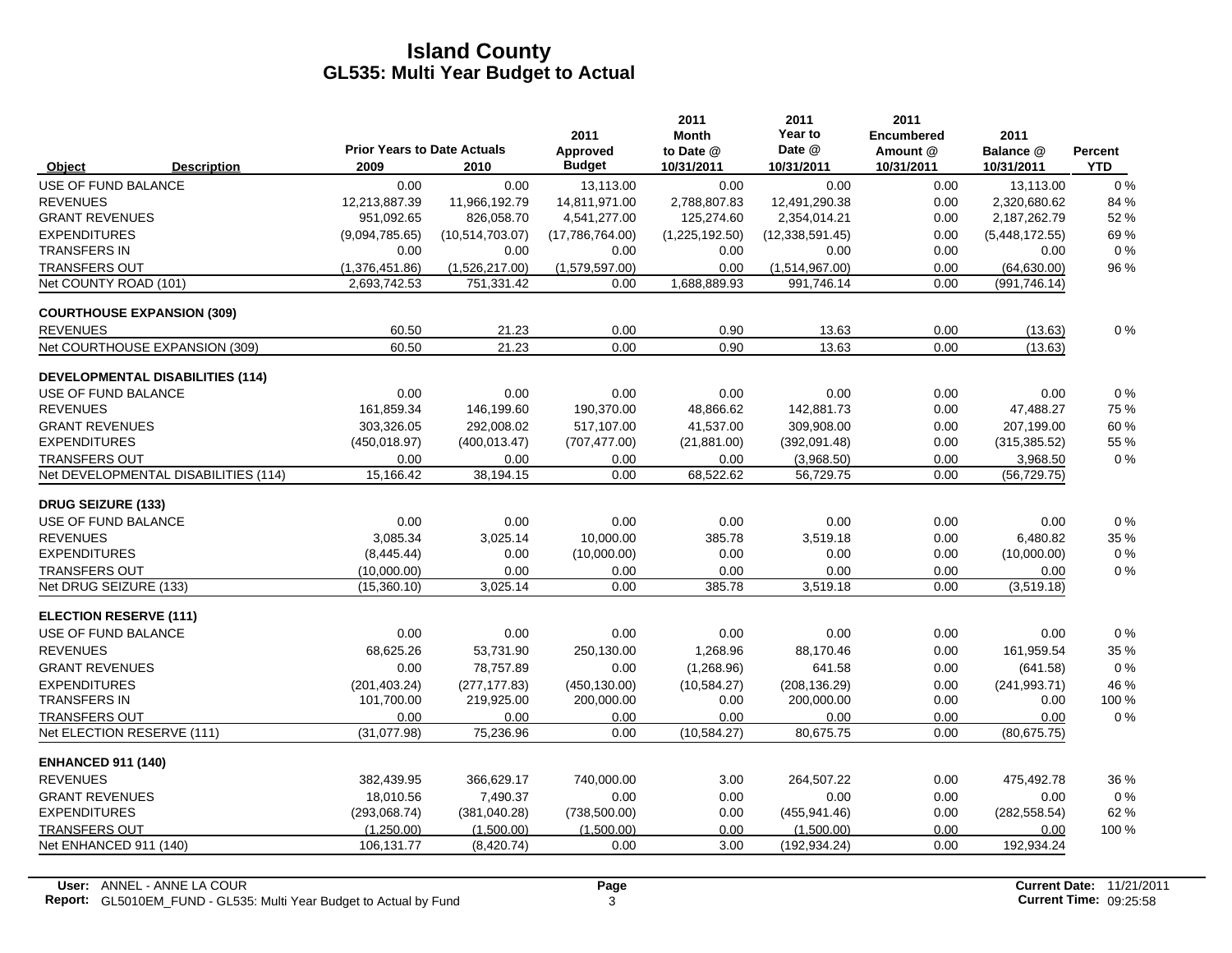|                                   |                                         |                                            |                 | 2011                      | 2011<br><b>Month</b>    | 2011<br>Year to      | 2011<br><b>Encumbered</b> | 2011                    |                       |
|-----------------------------------|-----------------------------------------|--------------------------------------------|-----------------|---------------------------|-------------------------|----------------------|---------------------------|-------------------------|-----------------------|
| Object                            | <b>Description</b>                      | <b>Prior Years to Date Actuals</b><br>2009 | 2010            | Approved<br><b>Budget</b> | to Date @<br>10/31/2011 | Date @<br>10/31/2011 | Amount @<br>10/31/2011    | Balance @<br>10/31/2011 | Percent<br><b>YTD</b> |
| USE OF FUND BALANCE               |                                         | 0.00                                       | 0.00            | 13,113.00                 | 0.00                    | 0.00                 | 0.00                      | 13,113.00               | 0%                    |
| <b>REVENUES</b>                   |                                         | 12,213,887.39                              | 11,966,192.79   | 14,811,971.00             | 2,788,807.83            | 12,491,290.38        | 0.00                      | 2,320,680.62            | 84 %                  |
| <b>GRANT REVENUES</b>             |                                         | 951,092.65                                 | 826,058.70      | 4,541,277.00              | 125,274.60              | 2,354,014.21         | 0.00                      | 2,187,262.79            | 52 %                  |
| <b>EXPENDITURES</b>               |                                         | (9,094,785.65)                             | (10,514,703.07) | (17,786,764.00)           | (1,225,192.50)          | (12, 338, 591.45)    | 0.00                      | (5,448,172.55)          | 69%                   |
| <b>TRANSFERS IN</b>               |                                         | 0.00                                       | 0.00            | 0.00                      | 0.00                    | 0.00                 | 0.00                      | 0.00                    | $0\%$                 |
| <b>TRANSFERS OUT</b>              |                                         | (1,376,451.86)                             | (1,526,217.00)  | (1,579,597.00)            | 0.00                    | (1,514,967.00)       | 0.00                      | (64, 630.00)            | 96 %                  |
| Net COUNTY ROAD (101)             |                                         | 2.693.742.53                               | 751,331.42      | 0.00                      | 1,688,889.93            | 991.746.14           | 0.00                      | (991, 746.14)           |                       |
| <b>COURTHOUSE EXPANSION (309)</b> |                                         |                                            |                 |                           |                         |                      |                           |                         |                       |
| <b>REVENUES</b>                   |                                         | 60.50                                      | 21.23           | 0.00                      | 0.90                    | 13.63                | 0.00                      | (13.63)                 | $0\%$                 |
|                                   | Net COURTHOUSE EXPANSION (309)          | 60.50                                      | 21.23           | 0.00                      | 0.90                    | 13.63                | 0.00                      | (13.63)                 |                       |
|                                   | <b>DEVELOPMENTAL DISABILITIES (114)</b> |                                            |                 |                           |                         |                      |                           |                         |                       |
| USE OF FUND BALANCE               |                                         | 0.00                                       | 0.00            | 0.00                      | 0.00                    | 0.00                 | 0.00                      | 0.00                    | 0%                    |
| <b>REVENUES</b>                   |                                         | 161,859.34                                 | 146,199.60      | 190,370.00                | 48,866.62               | 142,881.73           | 0.00                      | 47,488.27               | 75 %                  |
| <b>GRANT REVENUES</b>             |                                         | 303.326.05                                 | 292.008.02      | 517,107.00                | 41,537.00               | 309.908.00           | 0.00                      | 207.199.00              | 60%                   |
| <b>EXPENDITURES</b>               |                                         | (450, 018.97)                              | (400, 013.47)   | (707, 477.00)             | (21, 881.00)            | (392,091.48)         | 0.00                      | (315, 385.52)           | 55 %                  |
| <b>TRANSFERS OUT</b>              |                                         | 0.00                                       | 0.00            | 0.00                      | 0.00                    | (3,968.50)           | 0.00                      | 3,968.50                | 0%                    |
|                                   | Net DEVELOPMENTAL DISABILITIES (114)    | 15,166.42                                  | 38,194.15       | 0.00                      | 68,522.62               | 56,729.75            | 0.00                      | (56, 729.75)            |                       |
| <b>DRUG SEIZURE (133)</b>         |                                         |                                            |                 |                           |                         |                      |                           |                         |                       |
| USE OF FUND BALANCE               |                                         | 0.00                                       | 0.00            | 0.00                      | 0.00                    | 0.00                 | 0.00                      | 0.00                    | $0\%$                 |
| <b>REVENUES</b>                   |                                         | 3,085.34                                   | 3,025.14        | 10,000.00                 | 385.78                  | 3,519.18             | 0.00                      | 6,480.82                | 35 %                  |
| <b>EXPENDITURES</b>               |                                         | (8,445.44)                                 | 0.00            | (10,000.00)               | 0.00                    | 0.00                 | 0.00                      | (10,000.00)             | $0\%$                 |
| <b>TRANSFERS OUT</b>              |                                         | (10,000.00)                                | 0.00            | 0.00                      | 0.00                    | 0.00                 | 0.00                      | 0.00                    | $0\%$                 |
| Net DRUG SEIZURE (133)            |                                         | (15,360.10)                                | 3,025.14        | 0.00                      | 385.78                  | 3,519.18             | 0.00                      | (3,519.18)              |                       |
| <b>ELECTION RESERVE (111)</b>     |                                         |                                            |                 |                           |                         |                      |                           |                         |                       |
| USE OF FUND BALANCE               |                                         | 0.00                                       | 0.00            | 0.00                      | 0.00                    | 0.00                 | 0.00                      | 0.00                    | $0\%$                 |
| <b>REVENUES</b>                   |                                         | 68,625.26                                  | 53,731.90       | 250,130.00                | 1,268.96                | 88,170.46            | 0.00                      | 161,959.54              | 35 %                  |
| <b>GRANT REVENUES</b>             |                                         | 0.00                                       | 78,757.89       | 0.00                      | (1,268.96)              | 641.58               | 0.00                      | (641.58)                | $0\%$                 |
| <b>EXPENDITURES</b>               |                                         | (201, 403.24)                              | (277, 177.83)   | (450, 130.00)             | (10, 584.27)            | (208, 136.29)        | 0.00                      | (241, 993.71)           | 46 %                  |
| <b>TRANSFERS IN</b>               |                                         | 101,700.00                                 | 219,925.00      | 200,000.00                | 0.00                    | 200,000.00           | 0.00                      | 0.00                    | 100 %                 |
| <b>TRANSFERS OUT</b>              |                                         | 0.00                                       | 0.00            | 0.00                      | 0.00                    | 0.00                 | 0.00                      | 0.00                    | $0\%$                 |
| Net ELECTION RESERVE (111)        |                                         | (31,077.98)                                | 75,236.96       | 0.00                      | (10, 584.27)            | 80,675.75            | 0.00                      | (80, 675.75)            |                       |
| <b>ENHANCED 911 (140)</b>         |                                         |                                            |                 |                           |                         |                      |                           |                         |                       |
| <b>REVENUES</b>                   |                                         | 382,439.95                                 | 366,629.17      | 740,000.00                | 3.00                    | 264,507.22           | 0.00                      | 475,492.78              | 36 %                  |
| <b>GRANT REVENUES</b>             |                                         | 18,010.56                                  | 7,490.37        | 0.00                      | 0.00                    | 0.00                 | 0.00                      | 0.00                    | $0\%$                 |
| <b>EXPENDITURES</b>               |                                         | (293,068.74)                               | (381, 040.28)   | (738, 500.00)             | 0.00                    | (455, 941.46)        | 0.00                      | (282, 558.54)           | 62 %                  |
| <b>TRANSFERS OUT</b>              |                                         | (1.250.00)                                 | (1,500.00)      | (1,500.00)                | 0.00                    | (1,500.00)           | 0.00                      | 0.00                    | 100 %                 |
| Net ENHANCED 911 (140)            |                                         | 106,131.77                                 | (8,420.74)      | 0.00                      | 3.00                    | (192, 934.24)        | 0.00                      | 192,934.24              |                       |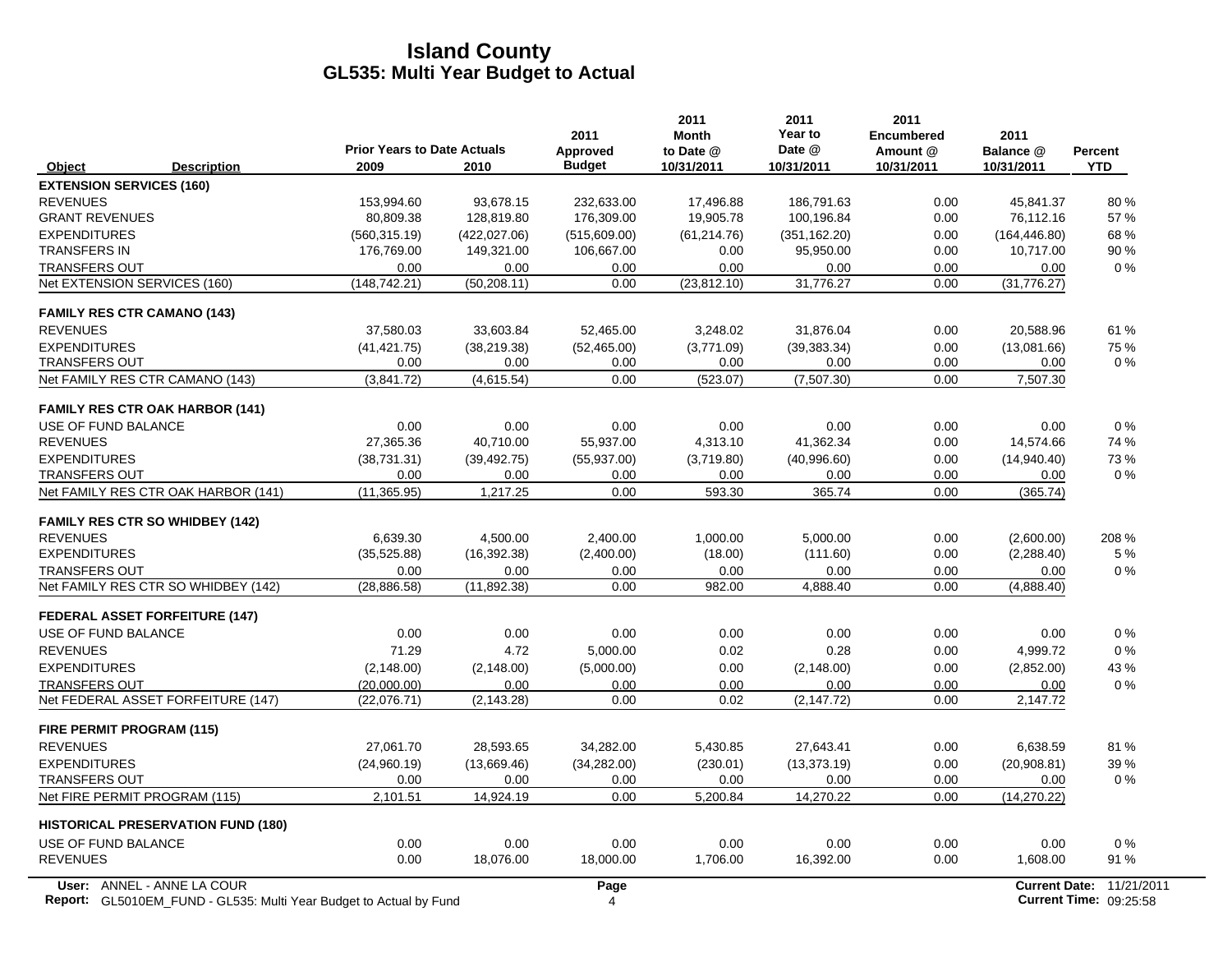|                                  |                                                                           | <b>Prior Years to Date Actuals</b> |               | 2011<br>Approved | 2011<br><b>Month</b><br>to Date @ | 2011<br>Year to<br>Date @ | 2011<br><b>Encumbered</b><br>Amount @ | 2011<br>Balance @ | <b>Percent</b>                |
|----------------------------------|---------------------------------------------------------------------------|------------------------------------|---------------|------------------|-----------------------------------|---------------------------|---------------------------------------|-------------------|-------------------------------|
| Object                           | <b>Description</b>                                                        | 2009                               | 2010          | <b>Budget</b>    | 10/31/2011                        | 10/31/2011                | 10/31/2011                            | 10/31/2011        | <b>YTD</b>                    |
| <b>EXTENSION SERVICES (160)</b>  |                                                                           |                                    |               |                  |                                   |                           |                                       |                   |                               |
| <b>REVENUES</b>                  |                                                                           | 153,994.60                         | 93,678.15     | 232,633.00       | 17,496.88                         | 186,791.63                | 0.00                                  | 45,841.37         | 80%                           |
| <b>GRANT REVENUES</b>            |                                                                           | 80,809.38                          | 128,819.80    | 176,309.00       | 19,905.78                         | 100,196.84                | 0.00                                  | 76,112.16         | 57%                           |
| <b>EXPENDITURES</b>              |                                                                           | (560,315.19)                       | (422, 027.06) | (515,609.00)     | (61, 214.76)                      | (351, 162.20)             | 0.00                                  | (164, 446.80)     | 68 %                          |
| <b>TRANSFERS IN</b>              |                                                                           | 176,769.00                         | 149,321.00    | 106,667.00       | 0.00                              | 95,950.00                 | 0.00                                  | 10,717.00         | 90%                           |
| <b>TRANSFERS OUT</b>             |                                                                           | 0.00                               | 0.00          | 0.00             | 0.00                              | 0.00                      | 0.00                                  | 0.00              | 0%                            |
|                                  | Net EXTENSION SERVICES (160)                                              | (148, 742.21)                      | (50, 208.11)  | 0.00             | (23, 812.10)                      | 31,776.27                 | 0.00                                  | (31,776.27)       |                               |
|                                  | <b>FAMILY RES CTR CAMANO (143)</b>                                        |                                    |               |                  |                                   |                           |                                       |                   |                               |
| <b>REVENUES</b>                  |                                                                           | 37,580.03                          | 33,603.84     | 52,465.00        | 3,248.02                          | 31,876.04                 | 0.00                                  | 20,588.96         | 61 %                          |
| <b>EXPENDITURES</b>              |                                                                           | (41, 421.75)                       | (38, 219.38)  | (52, 465.00)     | (3,771.09)                        | (39, 383.34)              | 0.00                                  | (13,081.66)       | 75 %                          |
| <b>TRANSFERS OUT</b>             |                                                                           | 0.00                               | 0.00          | 0.00             | 0.00                              | 0.00                      | 0.00                                  | 0.00              | $0\%$                         |
|                                  | Net FAMILY RES CTR CAMANO (143)                                           | (3,841.72)                         | (4,615.54)    | 0.00             | (523.07)                          | (7,507.30)                | 0.00                                  | 7,507.30          |                               |
|                                  | <b>FAMILY RES CTR OAK HARBOR (141)</b>                                    |                                    |               |                  |                                   |                           |                                       |                   |                               |
| USE OF FUND BALANCE              |                                                                           | 0.00                               | 0.00          | 0.00             | 0.00                              | 0.00                      | 0.00                                  | 0.00              | $0\%$                         |
| <b>REVENUES</b>                  |                                                                           | 27,365.36                          | 40,710.00     | 55,937.00        | 4,313.10                          | 41,362.34                 | 0.00                                  | 14,574.66         | 74 %                          |
| <b>EXPENDITURES</b>              |                                                                           | (38, 731.31)                       | (39, 492.75)  | (55, 937.00)     | (3,719.80)                        | (40,996.60)               | 0.00                                  | (14,940.40)       | 73%                           |
| <b>TRANSFERS OUT</b>             |                                                                           | 0.00                               | 0.00          | 0.00             | 0.00                              | 0.00                      | 0.00                                  | 0.00              | 0%                            |
|                                  | Net FAMILY RES CTR OAK HARBOR (141)                                       | (11, 365.95)                       | 1,217.25      | 0.00             | 593.30                            | 365.74                    | 0.00                                  | (365.74)          |                               |
|                                  | <b>FAMILY RES CTR SO WHIDBEY (142)</b>                                    |                                    |               |                  |                                   |                           |                                       |                   |                               |
| <b>REVENUES</b>                  |                                                                           | 6,639.30                           | 4,500.00      | 2,400.00         | 1,000.00                          | 5,000.00                  | 0.00                                  | (2,600.00)        | 208 %                         |
| <b>EXPENDITURES</b>              |                                                                           | (35,525.88)                        | (16, 392.38)  | (2,400.00)       | (18.00)                           | (111.60)                  | 0.00                                  | (2, 288.40)       | 5 %                           |
| <b>TRANSFERS OUT</b>             |                                                                           | 0.00                               | 0.00          | 0.00             | 0.00                              | 0.00                      | 0.00                                  | 0.00              | $0\%$                         |
|                                  | Net FAMILY RES CTR SO WHIDBEY (142)                                       | (28, 886.58)                       | (11, 892.38)  | 0.00             | 982.00                            | 4,888.40                  | 0.00                                  | (4,888.40)        |                               |
|                                  | <b>FEDERAL ASSET FORFEITURE (147)</b>                                     |                                    |               |                  |                                   |                           |                                       |                   |                               |
| USE OF FUND BALANCE              |                                                                           | 0.00                               | 0.00          | 0.00             | 0.00                              | 0.00                      | 0.00                                  | 0.00              | 0%                            |
| <b>REVENUES</b>                  |                                                                           | 71.29                              | 4.72          | 5,000.00         | 0.02                              | 0.28                      | 0.00                                  | 4,999.72          | $0\%$                         |
| <b>EXPENDITURES</b>              |                                                                           | (2, 148.00)                        | (2, 148.00)   | (5,000.00)       | 0.00                              | (2, 148.00)               | 0.00                                  | (2,852.00)        | 43 %                          |
| <b>TRANSFERS OUT</b>             |                                                                           | (20,000.00)                        | 0.00          | 0.00             | 0.00                              | 0.00                      | 0.00                                  | 0.00              | $0\%$                         |
|                                  | Net FEDERAL ASSET FORFEITURE (147)                                        | (22,076.71)                        | (2, 143.28)   | 0.00             | 0.02                              | (2, 147.72)               | 0.00                                  | 2,147.72          |                               |
| <b>FIRE PERMIT PROGRAM (115)</b> |                                                                           |                                    |               |                  |                                   |                           |                                       |                   |                               |
| <b>REVENUES</b>                  |                                                                           | 27,061.70                          | 28,593.65     | 34,282.00        | 5,430.85                          | 27,643.41                 | 0.00                                  | 6,638.59          | 81%                           |
| <b>EXPENDITURES</b>              |                                                                           | (24,960.19)                        | (13,669.46)   | (34, 282.00)     | (230.01)                          | (13, 373.19)              | 0.00                                  | (20,908.81)       | 39%                           |
| <b>TRANSFERS OUT</b>             |                                                                           | 0.00                               | 0.00          | 0.00             | 0.00                              | 0.00                      | 0.00                                  | 0.00              | $0\%$                         |
|                                  | Net FIRE PERMIT PROGRAM (115)                                             | 2,101.51                           | 14,924.19     | 0.00             | 5,200.84                          | 14,270.22                 | 0.00                                  | (14,270.22)       |                               |
|                                  | <b>HISTORICAL PRESERVATION FUND (180)</b>                                 |                                    |               |                  |                                   |                           |                                       |                   |                               |
| USE OF FUND BALANCE              |                                                                           | 0.00                               | 0.00          | 0.00             | 0.00                              | 0.00                      | 0.00                                  | 0.00              | 0%                            |
| <b>REVENUES</b>                  |                                                                           | 0.00                               | 18,076.00     | 18,000.00        | 1,706.00                          | 16,392.00                 | 0.00                                  | 1,608.00          | 91 %                          |
|                                  | User: ANNEL - ANNE LA COUR                                                |                                    |               | Page             |                                   |                           |                                       |                   | Current Date: 11/21/2011      |
|                                  | <b>Report:</b> GL5010EM_FUND - GL535: Multi Year Budget to Actual by Fund |                                    |               | 4                |                                   |                           |                                       |                   | <b>Current Time: 09:25:58</b> |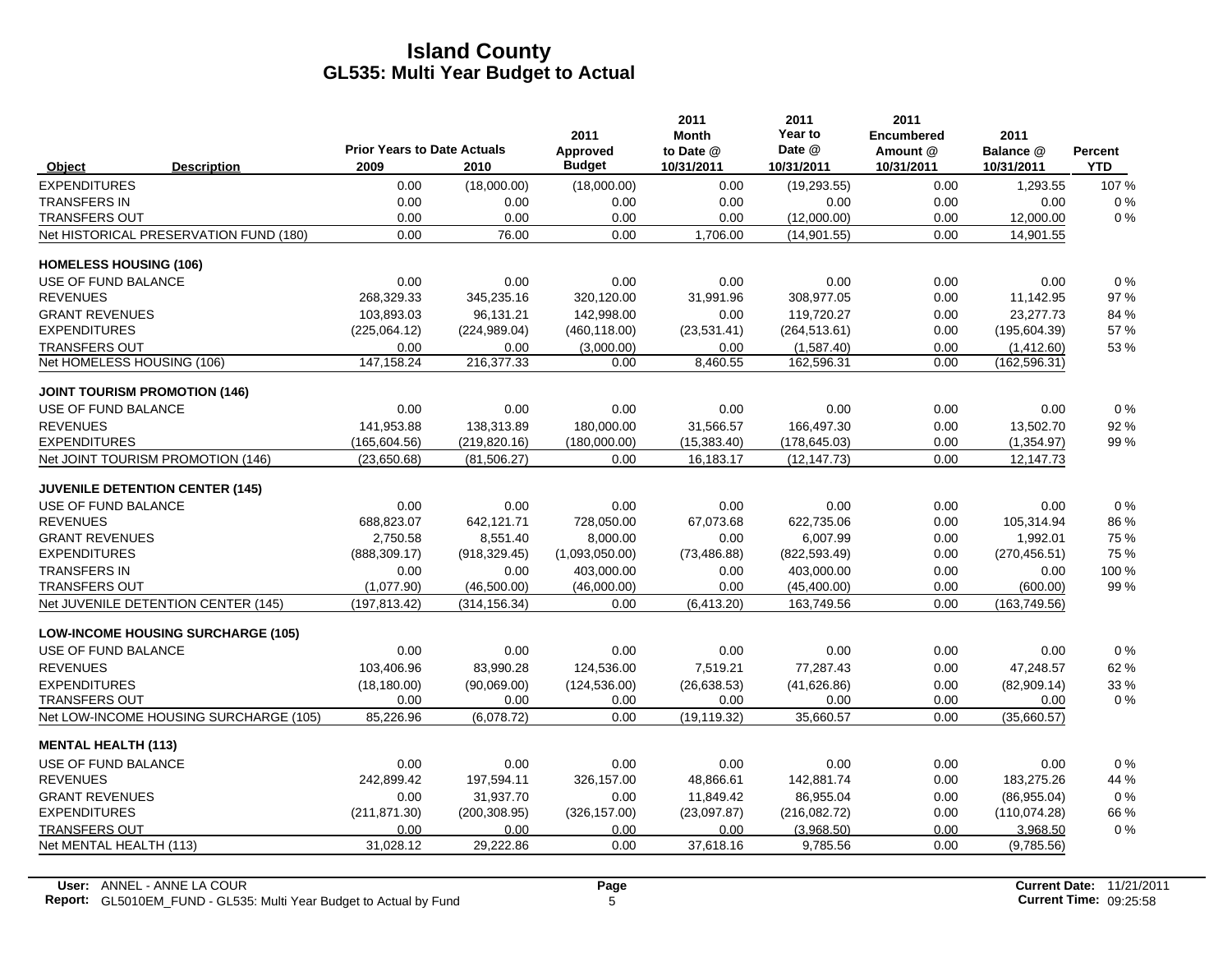|                               |                                           |                                            |               | 2011                      | 2011<br><b>Month</b>    | 2011<br>Year to      | 2011<br><b>Encumbered</b> | 2011                    |                              |
|-------------------------------|-------------------------------------------|--------------------------------------------|---------------|---------------------------|-------------------------|----------------------|---------------------------|-------------------------|------------------------------|
| Object                        | <b>Description</b>                        | <b>Prior Years to Date Actuals</b><br>2009 | 2010          | Approved<br><b>Budget</b> | to Date @<br>10/31/2011 | Date @<br>10/31/2011 | Amount @<br>10/31/2011    | Balance @<br>10/31/2011 | <b>Percent</b><br><b>YTD</b> |
| <b>EXPENDITURES</b>           |                                           | 0.00                                       | (18,000.00)   | (18,000.00)               | 0.00                    | (19, 293.55)         | 0.00                      | 1,293.55                | 107%                         |
| <b>TRANSFERS IN</b>           |                                           | 0.00                                       | 0.00          | 0.00                      | 0.00                    | 0.00                 | 0.00                      | 0.00                    | $0\%$                        |
| <b>TRANSFERS OUT</b>          |                                           | 0.00                                       | 0.00          | 0.00                      | 0.00                    | (12,000.00)          | 0.00                      | 12,000.00               | 0%                           |
|                               | Net HISTORICAL PRESERVATION FUND (180)    | 0.00                                       | 76.00         | 0.00                      | 1,706.00                | (14,901.55)          | 0.00                      | 14,901.55               |                              |
| <b>HOMELESS HOUSING (106)</b> |                                           |                                            |               |                           |                         |                      |                           |                         |                              |
| USE OF FUND BALANCE           |                                           | 0.00                                       | 0.00          | 0.00                      | 0.00                    | 0.00                 | 0.00                      | 0.00                    | $0\%$                        |
| <b>REVENUES</b>               |                                           | 268.329.33                                 | 345,235.16    | 320,120.00                | 31,991.96               | 308.977.05           | 0.00                      | 11,142.95               | 97 %                         |
| <b>GRANT REVENUES</b>         |                                           | 103,893.03                                 | 96,131.21     | 142,998.00                | 0.00                    | 119.720.27           | 0.00                      | 23,277.73               | 84 %                         |
| <b>EXPENDITURES</b>           |                                           | (225,064.12)                               | (224, 989.04) | (460, 118.00)             | (23, 531.41)            | (264, 513.61)        | 0.00                      | (195, 604.39)           | 57 %                         |
| <b>TRANSFERS OUT</b>          |                                           | 0.00                                       | 0.00          | (3,000.00)                | 0.00                    | (1,587.40)           | 0.00                      | (1,412.60)              | 53 %                         |
| Net HOMELESS HOUSING (106)    |                                           | 147, 158.24                                | 216,377.33    | 0.00                      | 8,460.55                | 162,596.31           | 0.00                      | (162, 596.31)           |                              |
|                               | <b>JOINT TOURISM PROMOTION (146)</b>      |                                            |               |                           |                         |                      |                           |                         |                              |
| <b>USE OF FUND BALANCE</b>    |                                           | 0.00                                       | 0.00          | 0.00                      | 0.00                    | 0.00                 | 0.00                      | 0.00                    | $0\%$                        |
| <b>REVENUES</b>               |                                           | 141.953.88                                 | 138,313.89    | 180.000.00                | 31.566.57               | 166.497.30           | 0.00                      | 13,502.70               | 92%                          |
| <b>EXPENDITURES</b>           |                                           | (165, 604.56)                              | (219, 820.16) | (180,000.00)              | (15,383.40)             | (178, 645.03)        | 0.00                      | (1,354.97)              | 99%                          |
|                               | Net JOINT TOURISM PROMOTION (146)         | (23,650.68)                                | (81, 506.27)  | 0.00                      | 16,183.17               | (12, 147.73)         | 0.00                      | 12,147.73               |                              |
|                               | <b>JUVENILE DETENTION CENTER (145)</b>    |                                            |               |                           |                         |                      |                           |                         |                              |
| USE OF FUND BALANCE           |                                           | 0.00                                       | 0.00          | 0.00                      | 0.00                    | 0.00                 | 0.00                      | 0.00                    | $0\%$                        |
| <b>REVENUES</b>               |                                           | 688,823.07                                 | 642,121.71    | 728,050.00                | 67,073.68               | 622,735.06           | 0.00                      | 105,314.94              | 86 %                         |
| <b>GRANT REVENUES</b>         |                                           | 2,750.58                                   | 8,551.40      | 8,000.00                  | 0.00                    | 6,007.99             | 0.00                      | 1,992.01                | 75 %                         |
| <b>EXPENDITURES</b>           |                                           | (888, 309.17)                              | (918, 329.45) | (1,093,050.00)            | (73, 486.88)            | (822, 593.49)        | 0.00                      | (270, 456.51)           | 75 %                         |
| <b>TRANSFERS IN</b>           |                                           | 0.00                                       | 0.00          | 403,000.00                | 0.00                    | 403,000.00           | 0.00                      | 0.00                    | 100 %                        |
| <b>TRANSFERS OUT</b>          |                                           | (1,077.90)                                 | (46,500.00)   | (46,000.00)               | 0.00                    | (45, 400.00)         | 0.00                      | (600.00)                | 99 %                         |
|                               | Net JUVENILE DETENTION CENTER (145)       | (197, 813.42)                              | (314, 156.34) | 0.00                      | (6,413.20)              | 163,749.56           | 0.00                      | (163, 749.56)           |                              |
|                               | <b>LOW-INCOME HOUSING SURCHARGE (105)</b> |                                            |               |                           |                         |                      |                           |                         |                              |
| USE OF FUND BALANCE           |                                           | 0.00                                       | 0.00          | 0.00                      | 0.00                    | 0.00                 | 0.00                      | 0.00                    | 0%                           |
| <b>REVENUES</b>               |                                           | 103,406.96                                 | 83,990.28     | 124,536.00                | 7,519.21                | 77,287.43            | 0.00                      | 47,248.57               | 62 %                         |
| <b>EXPENDITURES</b>           |                                           | (18, 180.00)                               | (90,069,00)   | (124, 536.00)             | (26, 638.53)            | (41,626.86)          | 0.00                      | (82,909.14)             | 33 %                         |
| <b>TRANSFERS OUT</b>          |                                           | 0.00                                       | 0.00          | 0.00                      | 0.00                    | 0.00                 | 0.00                      | 0.00                    | $0\%$                        |
|                               | Net LOW-INCOME HOUSING SURCHARGE (105)    | 85.226.96                                  | (6,078.72)    | 0.00                      | (19, 119.32)            | 35.660.57            | 0.00                      | (35,660.57)             |                              |
| <b>MENTAL HEALTH (113)</b>    |                                           |                                            |               |                           |                         |                      |                           |                         |                              |
| USE OF FUND BALANCE           |                                           | 0.00                                       | 0.00          | 0.00                      | 0.00                    | 0.00                 | 0.00                      | 0.00                    | $0\%$                        |
| <b>REVENUES</b>               |                                           | 242,899.42                                 | 197,594.11    | 326,157.00                | 48,866.61               | 142,881.74           | 0.00                      | 183,275.26              | 44 %                         |
| <b>GRANT REVENUES</b>         |                                           | 0.00                                       | 31,937.70     | 0.00                      | 11,849.42               | 86.955.04            | 0.00                      | (86,955.04)             | 0%                           |
| <b>EXPENDITURES</b>           |                                           | (211, 871.30)                              | (200, 308.95) | (326, 157.00)             | (23,097.87)             | (216,082.72)         | 0.00                      | (110,074.28)            | 66 %                         |
| <b>TRANSFERS OUT</b>          |                                           | 0.00                                       | 0.00          | 0.00                      | 0.00                    | (3,968.50)           | 0.00                      | 3,968.50                | 0%                           |
| Net MENTAL HEALTH (113)       |                                           | 31,028.12                                  | 29,222.86     | 0.00                      | 37,618.16               | 9,785.56             | 0.00                      | (9,785.56)              |                              |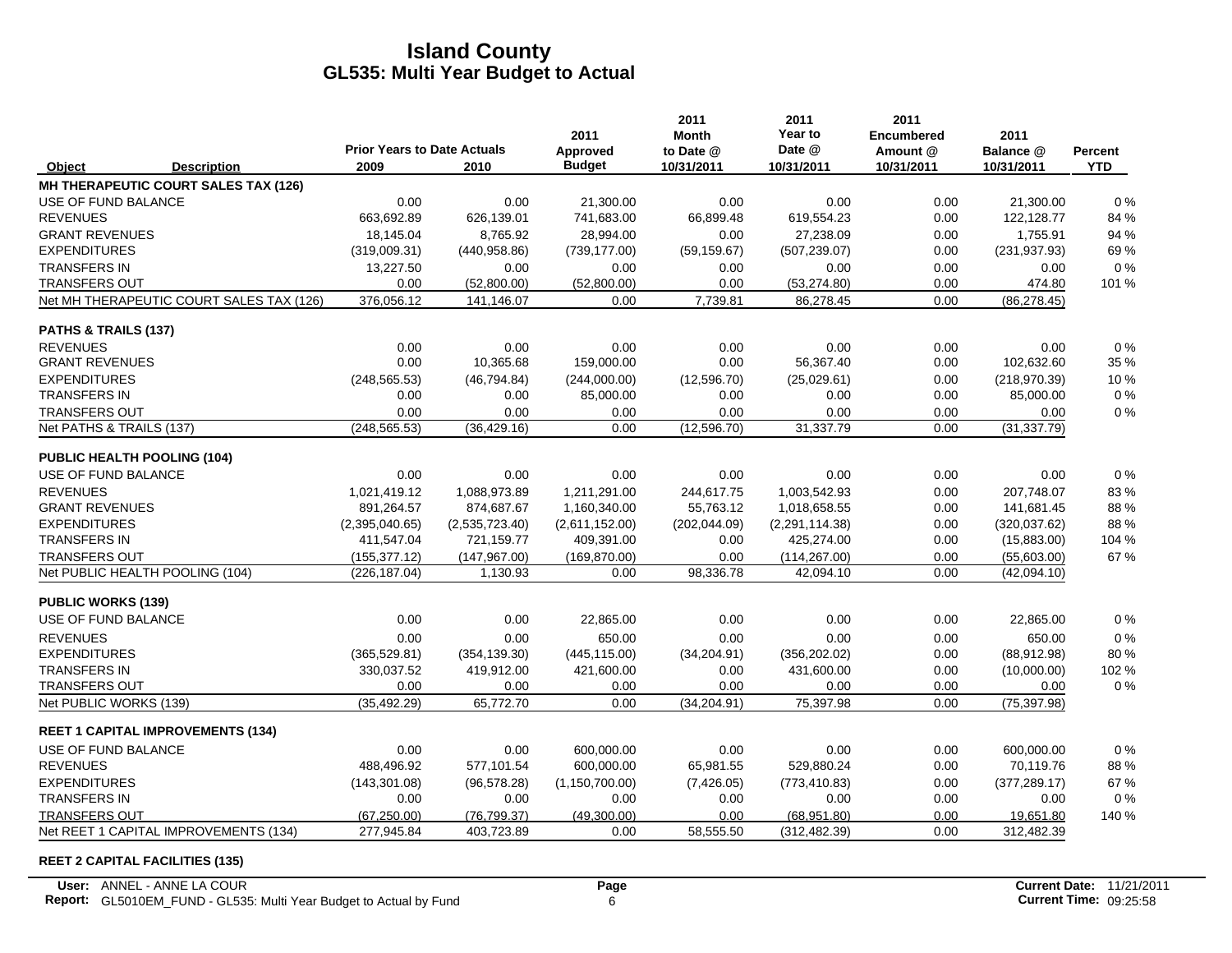|                            |                                          |                                            |                | 2011                      | 2011<br><b>Month</b>    | 2011<br>Year to      | 2011<br><b>Encumbered</b> | 2011                    |                       |
|----------------------------|------------------------------------------|--------------------------------------------|----------------|---------------------------|-------------------------|----------------------|---------------------------|-------------------------|-----------------------|
| Object                     | <b>Description</b>                       | <b>Prior Years to Date Actuals</b><br>2009 | 2010           | Approved<br><b>Budget</b> | to Date @<br>10/31/2011 | Date @<br>10/31/2011 | Amount @<br>10/31/2011    | Balance @<br>10/31/2011 | Percent<br><b>YTD</b> |
|                            | MH THERAPEUTIC COURT SALES TAX (126)     |                                            |                |                           |                         |                      |                           |                         |                       |
| USE OF FUND BALANCE        |                                          | 0.00                                       | 0.00           | 21,300.00                 | 0.00                    | 0.00                 | 0.00                      | 21,300.00               | 0%                    |
| <b>REVENUES</b>            |                                          | 663,692.89                                 | 626,139.01     | 741,683.00                | 66,899.48               | 619,554.23           | 0.00                      | 122,128.77              | 84 %                  |
| <b>GRANT REVENUES</b>      |                                          | 18.145.04                                  | 8.765.92       | 28.994.00                 | 0.00                    | 27.238.09            | 0.00                      | 1,755.91                | 94 %                  |
| <b>EXPENDITURES</b>        |                                          | (319,009.31)                               | (440, 958.86)  | (739, 177.00)             | (59, 159.67)            | (507, 239.07)        | 0.00                      | (231, 937.93)           | 69%                   |
| <b>TRANSFERS IN</b>        |                                          | 13,227.50                                  | 0.00           | 0.00                      | 0.00                    | 0.00                 | 0.00                      | 0.00                    | $0\%$                 |
| <b>TRANSFERS OUT</b>       |                                          | 0.00                                       | (52,800.00)    | (52,800.00)               | 0.00                    | (53, 274.80)         | 0.00                      | 474.80                  | 101 %                 |
|                            | Net MH THERAPEUTIC COURT SALES TAX (126) | 376,056.12                                 | 141,146.07     | 0.00                      | 7,739.81                | 86,278.45            | 0.00                      | (86, 278.45)            |                       |
| PATHS & TRAILS (137)       |                                          |                                            |                |                           |                         |                      |                           |                         |                       |
| <b>REVENUES</b>            |                                          | 0.00                                       | 0.00           | 0.00                      | 0.00                    | 0.00                 | 0.00                      | 0.00                    | 0%                    |
| <b>GRANT REVENUES</b>      |                                          | 0.00                                       | 10,365.68      | 159,000.00                | 0.00                    | 56,367.40            | 0.00                      | 102,632.60              | 35 %                  |
| <b>EXPENDITURES</b>        |                                          | (248, 565.53)                              | (46, 794.84)   | (244,000.00)              | (12,596.70)             | (25,029.61)          | 0.00                      | (218, 970.39)           | 10%                   |
| <b>TRANSFERS IN</b>        |                                          | 0.00                                       | 0.00           | 85,000.00                 | 0.00                    | 0.00                 | 0.00                      | 85,000.00               | $0\%$                 |
| <b>TRANSFERS OUT</b>       |                                          | 0.00                                       | 0.00           | 0.00                      | 0.00                    | 0.00                 | 0.00                      | 0.00                    | 0%                    |
| Net PATHS & TRAILS (137)   |                                          | (248, 565.53)                              | (36, 429.16)   | 0.00                      | (12, 596.70)            | 31,337.79            | 0.00                      | (31, 337.79)            |                       |
|                            | PUBLIC HEALTH POOLING (104)              |                                            |                |                           |                         |                      |                           |                         |                       |
| USE OF FUND BALANCE        |                                          | 0.00                                       | 0.00           | 0.00                      | 0.00                    | 0.00                 | 0.00                      | 0.00                    | 0%                    |
| <b>REVENUES</b>            |                                          | 1.021.419.12                               | 1.088.973.89   | 1,211,291.00              | 244,617.75              | 1.003.542.93         | 0.00                      | 207.748.07              | 83%                   |
| <b>GRANT REVENUES</b>      |                                          | 891,264.57                                 | 874,687.67     | 1,160,340.00              | 55,763.12               | 1,018,658.55         | 0.00                      | 141,681.45              | 88%                   |
| <b>EXPENDITURES</b>        |                                          | (2,395,040.65)                             | (2,535,723.40) | (2,611,152.00)            | (202, 044.09)           | (2,291,114.38)       | 0.00                      | (320, 037.62)           | 88%                   |
| <b>TRANSFERS IN</b>        |                                          | 411,547.04                                 | 721,159.77     | 409,391.00                | 0.00                    | 425,274.00           | 0.00                      | (15,883.00)             | 104 %                 |
| <b>TRANSFERS OUT</b>       |                                          | (155, 377.12)                              | (147, 967.00)  | (169, 870.00)             | 0.00                    | (114, 267.00)        | 0.00                      | (55,603.00)             | 67 %                  |
|                            | Net PUBLIC HEALTH POOLING (104)          | (226, 187.04)                              | 1,130.93       | 0.00                      | 98,336.78               | 42,094.10            | 0.00                      | (42,094.10)             |                       |
| <b>PUBLIC WORKS (139)</b>  |                                          |                                            |                |                           |                         |                      |                           |                         |                       |
| <b>USE OF FUND BALANCE</b> |                                          | 0.00                                       | 0.00           | 22,865.00                 | 0.00                    | 0.00                 | 0.00                      | 22,865.00               | 0%                    |
| <b>REVENUES</b>            |                                          | 0.00                                       | 0.00           | 650.00                    | 0.00                    | 0.00                 | 0.00                      | 650.00                  | 0%                    |
| <b>EXPENDITURES</b>        |                                          | (365, 529.81)                              | (354, 139.30)  | (445, 115.00)             | (34, 204.91)            | (356, 202.02)        | 0.00                      | (88,912.98)             | 80%                   |
| <b>TRANSFERS IN</b>        |                                          | 330,037.52                                 | 419,912.00     | 421,600.00                | 0.00                    | 431,600.00           | 0.00                      | (10,000.00)             | 102 %                 |
| <b>TRANSFERS OUT</b>       |                                          | 0.00                                       | 0.00           | 0.00                      | 0.00                    | 0.00                 | 0.00                      | 0.00                    | 0%                    |
| Net PUBLIC WORKS (139)     |                                          | (35, 492.29)                               | 65,772.70      | 0.00                      | (34, 204.91)            | 75,397.98            | 0.00                      | (75, 397.98)            |                       |
|                            | <b>REET 1 CAPITAL IMPROVEMENTS (134)</b> |                                            |                |                           |                         |                      |                           |                         |                       |
| USE OF FUND BALANCE        |                                          | 0.00                                       | 0.00           | 600,000.00                | 0.00                    | 0.00                 | 0.00                      | 600,000.00              | 0%                    |
| <b>REVENUES</b>            |                                          | 488,496.92                                 | 577,101.54     | 600,000.00                | 65,981.55               | 529,880.24           | 0.00                      | 70,119.76               | 88%                   |
| <b>EXPENDITURES</b>        |                                          | (143, 301.08)                              | (96, 578.28)   | (1, 150, 700.00)          | (7,426.05)              | (773, 410.83)        | 0.00                      | (377, 289.17)           | 67 %                  |
| <b>TRANSFERS IN</b>        |                                          | 0.00                                       | 0.00           | 0.00                      | 0.00                    | 0.00                 | 0.00                      | 0.00                    | $0\%$                 |
| TRANSFERS OUT              |                                          | (67, 250.00)                               | (76, 799.37)   | (49,300.00)               | 0.00                    | (68,951.80)          | 0.00                      | 19,651.80               | 140 %                 |
|                            | Net REET 1 CAPITAL IMPROVEMENTS (134)    | 277,945.84                                 | 403,723.89     | 0.00                      | 58,555.50               | (312, 482.39)        | 0.00                      | 312,482.39              |                       |

#### **REET 2 CAPITAL FACILITIES (135)**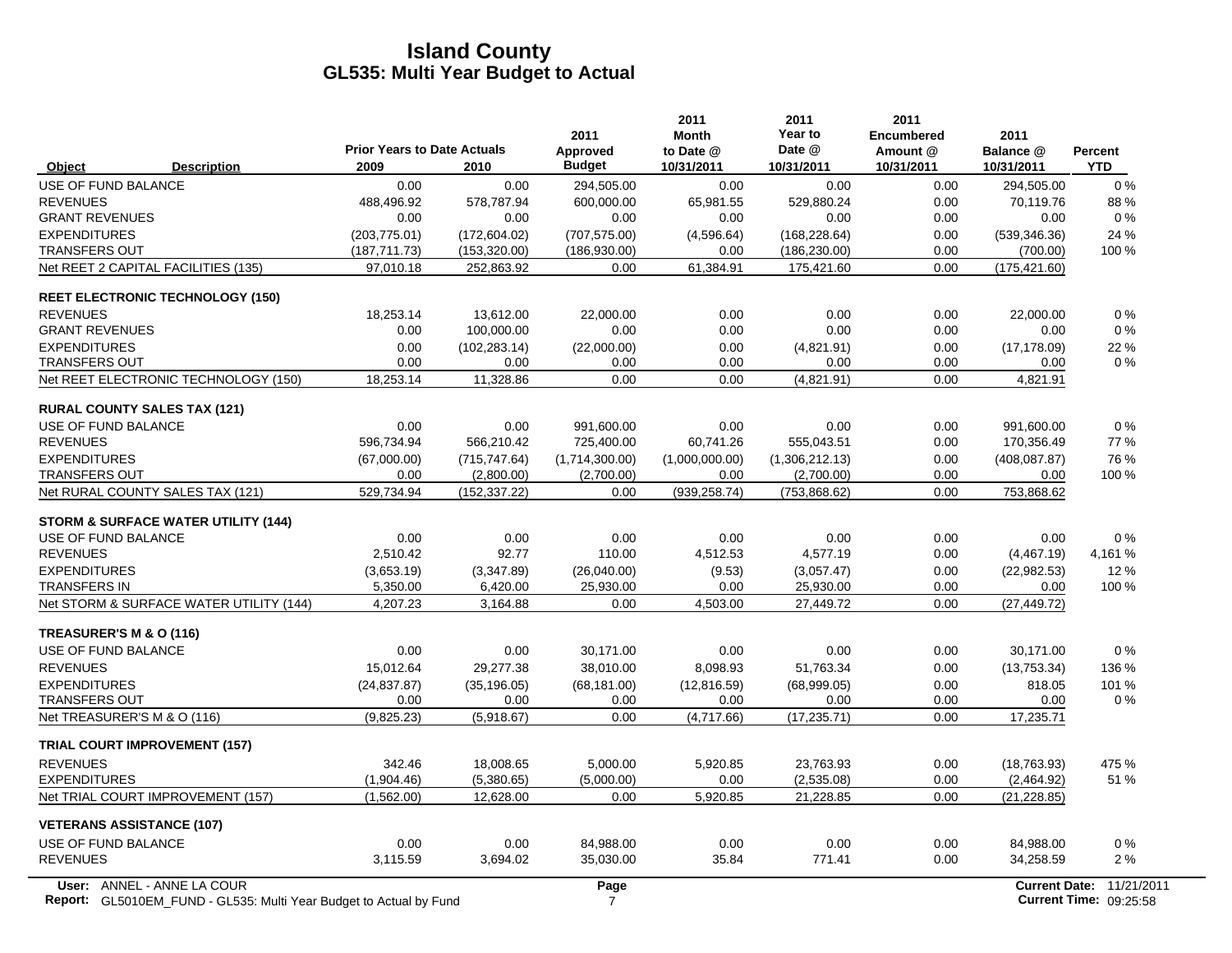|                                                                                                         | <b>Prior Years to Date Actuals</b> |               | 2011<br>Approved | 2011<br><b>Month</b><br>to Date @ | 2011<br>Year to<br>Date @ | 2011<br><b>Encumbered</b><br>Amount @ | 2011<br>Balance @    | <b>Percent</b>                              |
|---------------------------------------------------------------------------------------------------------|------------------------------------|---------------|------------------|-----------------------------------|---------------------------|---------------------------------------|----------------------|---------------------------------------------|
| <b>Description</b><br>Object                                                                            | 2009                               | 2010          | <b>Budget</b>    | 10/31/2011                        | 10/31/2011                | 10/31/2011                            | 10/31/2011           | <b>YTD</b>                                  |
| USE OF FUND BALANCE                                                                                     | 0.00                               | 0.00          | 294,505.00       | 0.00                              | 0.00                      | 0.00                                  | 294,505.00           | $0\%$                                       |
| <b>REVENUES</b>                                                                                         | 488,496.92                         | 578,787.94    | 600,000.00       | 65,981.55                         | 529,880.24                | 0.00                                  | 70,119.76            | 88%                                         |
| <b>GRANT REVENUES</b>                                                                                   | 0.00                               | 0.00          | 0.00             | 0.00                              | 0.00                      | 0.00                                  | 0.00                 | $0\%$                                       |
| <b>EXPENDITURES</b>                                                                                     | (203, 775.01)                      | (172, 604.02) | (707, 575.00)    | (4,596.64)                        | (168, 228.64)             | 0.00                                  | (539, 346.36)        | 24 %                                        |
| <b>TRANSFERS OUT</b>                                                                                    | (187, 711.73)                      | (153, 320.00) | (186, 930.00)    | 0.00                              | (186, 230.00)             | 0.00                                  | (700.00)             | 100 %                                       |
| Net REET 2 CAPITAL FACILITIES (135)                                                                     | 97,010.18                          | 252,863.92    | 0.00             | 61,384.91                         | 175,421.60                | 0.00                                  | (175, 421.60)        |                                             |
| <b>REET ELECTRONIC TECHNOLOGY (150)</b>                                                                 |                                    |               |                  |                                   |                           |                                       |                      |                                             |
| <b>REVENUES</b>                                                                                         | 18,253.14                          | 13,612.00     | 22,000.00        | 0.00                              | 0.00                      | 0.00                                  | 22.000.00            | 0%                                          |
| <b>GRANT REVENUES</b>                                                                                   | 0.00                               | 100,000.00    | 0.00             | 0.00                              | 0.00                      | 0.00                                  | 0.00                 | $0\%$                                       |
| <b>EXPENDITURES</b>                                                                                     | 0.00                               | (102, 283.14) | (22,000.00)      | 0.00                              | (4,821.91)                | 0.00                                  | (17, 178.09)         | 22 %                                        |
| <b>TRANSFERS OUT</b>                                                                                    | 0.00                               | 0.00          | 0.00             | 0.00                              | 0.00                      | 0.00                                  | 0.00                 | 0%                                          |
| Net REET ELECTRONIC TECHNOLOGY (150)                                                                    | 18,253.14                          | 11,328.86     | 0.00             | 0.00                              | (4,821.91)                | 0.00                                  | 4,821.91             |                                             |
| <b>RURAL COUNTY SALES TAX (121)</b>                                                                     |                                    |               |                  |                                   |                           |                                       |                      |                                             |
| USE OF FUND BALANCE                                                                                     | 0.00                               | 0.00          | 991,600.00       | 0.00                              | 0.00                      | 0.00                                  | 991,600.00           | $0\%$                                       |
| <b>REVENUES</b>                                                                                         | 596,734.94                         | 566,210.42    | 725,400.00       | 60,741.26                         | 555,043.51                | 0.00                                  | 170,356.49           | 77%                                         |
| <b>EXPENDITURES</b>                                                                                     | (67,000.00)                        | (715, 747.64) | (1,714,300.00)   | (1,000,000.00)                    | (1,306,212.13)            | 0.00                                  | (408, 087.87)        | 76 %                                        |
| <b>TRANSFERS OUT</b>                                                                                    | 0.00                               | (2,800.00)    | (2,700.00)       | 0.00                              | (2,700.00)                | 0.00                                  | 0.00                 | 100 %                                       |
| Net RURAL COUNTY SALES TAX (121)                                                                        | 529,734.94                         | (152, 337.22) | 0.00             | (939, 258.74)                     | (753, 868.62)             | 0.00                                  | 753,868.62           |                                             |
| <b>STORM &amp; SURFACE WATER UTILITY (144)</b>                                                          |                                    |               |                  |                                   |                           |                                       |                      |                                             |
| USE OF FUND BALANCE                                                                                     | 0.00                               | 0.00          | 0.00             | 0.00                              | 0.00                      | 0.00                                  | 0.00                 | 0%                                          |
| <b>REVENUES</b>                                                                                         | 2,510.42                           | 92.77         | 110.00           | 4,512.53                          | 4,577.19                  | 0.00                                  | (4,467.19)           | 4,161 %                                     |
| <b>EXPENDITURES</b>                                                                                     | (3,653.19)                         | (3,347.89)    | (26,040.00)      | (9.53)                            | (3,057.47)                | 0.00                                  | (22, 982.53)         | 12%                                         |
| <b>TRANSFERS IN</b>                                                                                     | 5,350.00                           | 6,420.00      | 25,930.00        | 0.00                              | 25,930.00                 | 0.00                                  | 0.00                 | 100 %                                       |
| Net STORM & SURFACE WATER UTILITY (144)                                                                 | 4,207.23                           | 3,164.88      | 0.00             | 4,503.00                          | 27,449.72                 | 0.00                                  | (27, 449.72)         |                                             |
| TREASURER'S M & O (116)                                                                                 |                                    |               |                  |                                   |                           |                                       |                      |                                             |
| USE OF FUND BALANCE                                                                                     | 0.00                               | 0.00          | 30.171.00        | 0.00                              | 0.00                      | 0.00                                  | 30.171.00            | $0\%$                                       |
| <b>REVENUES</b>                                                                                         | 15,012.64                          | 29,277.38     | 38,010.00        | 8,098.93                          | 51,763.34                 | 0.00                                  | (13,753.34)          | 136 %                                       |
| <b>EXPENDITURES</b>                                                                                     | (24, 837.87)                       | (35, 196.05)  | (68, 181.00)     | (12,816.59)                       | (68,999.05)               | 0.00                                  | 818.05               | 101 %                                       |
| <b>TRANSFERS OUT</b>                                                                                    | 0.00                               | 0.00          | 0.00             | 0.00                              | 0.00                      | 0.00                                  | 0.00                 | 0%                                          |
| Net TREASURER'S M & O (116)                                                                             | (9,825.23)                         | (5,918.67)    | 0.00             | (4,717.66)                        | (17, 235.71)              | 0.00                                  | 17,235.71            |                                             |
| <b>TRIAL COURT IMPROVEMENT (157)</b>                                                                    |                                    |               |                  |                                   |                           |                                       |                      |                                             |
| <b>REVENUES</b>                                                                                         | 342.46                             | 18,008.65     | 5,000.00         | 5,920.85                          | 23,763.93                 | 0.00                                  | (18, 763.93)         | 475 %                                       |
| <b>EXPENDITURES</b>                                                                                     | (1,904.46)                         | (5,380.65)    | (5,000.00)       | 0.00                              | (2,535.08)                | 0.00                                  | (2,464.92)           | 51 %                                        |
| Net TRIAL COURT IMPROVEMENT (157)                                                                       | (1,562.00)                         | 12,628.00     | 0.00             | 5,920.85                          | 21,228.85                 | 0.00                                  | (21, 228.85)         |                                             |
| <b>VETERANS ASSISTANCE (107)</b>                                                                        |                                    |               |                  |                                   |                           |                                       |                      |                                             |
| USE OF FUND BALANCE                                                                                     | 0.00                               | 0.00          | 84.988.00        | 0.00                              | 0.00                      | 0.00                                  | 84,988.00            | 0%                                          |
| <b>REVENUES</b>                                                                                         | 3,115.59                           | 3,694.02      | 35,030.00        | 35.84                             | 771.41                    | 0.00                                  | 34,258.59            | 2%                                          |
| User: ANNEL - ANNE LA COUR<br><b>Report:</b> GL5010EM FUND - GL535: Multi Year Budget to Actual by Fund |                                    |               | Page<br>7        |                                   |                           |                                       | <b>Current Date:</b> | 11/21/2011<br><b>Current Time: 09:25:58</b> |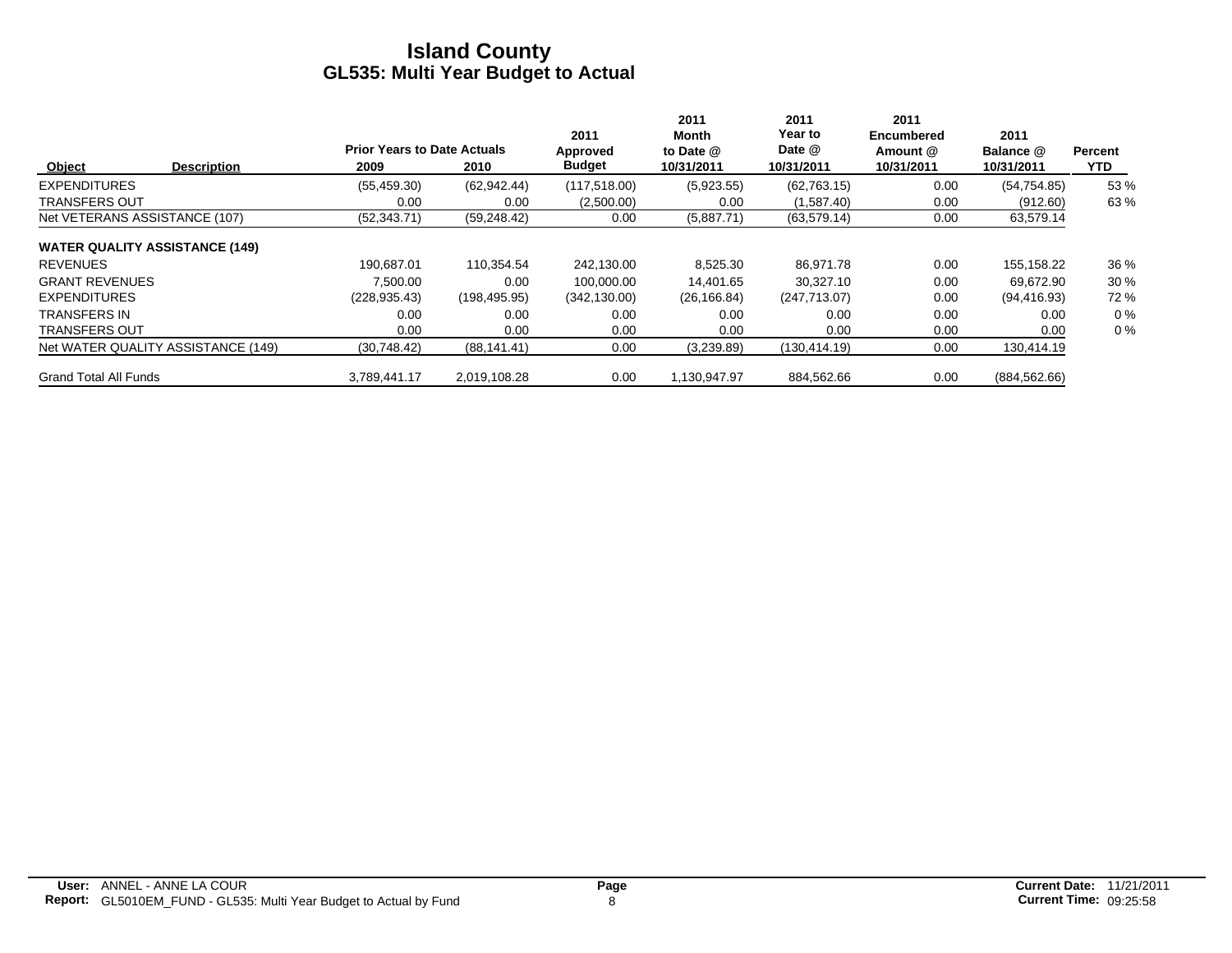|                                       | <b>Prior Years to Date Actuals</b> |               | 2011<br>Approved | 2011<br>Month<br>to Date @ | 2011<br>Year to<br>Date @ | 2011<br>Encumbered<br>Amount @ | 2011<br>Balance @ | <b>Percent</b> |
|---------------------------------------|------------------------------------|---------------|------------------|----------------------------|---------------------------|--------------------------------|-------------------|----------------|
| Object<br><b>Description</b>          | 2009                               | 2010          | <b>Budget</b>    | 10/31/2011                 | 10/31/2011                | 10/31/2011                     | 10/31/2011        | <b>YTD</b>     |
| <b>EXPENDITURES</b>                   | (55, 459.30)                       | (62, 942, 44) | (117,518.00)     | (5,923.55)                 | (62, 763.15)              | 0.00                           | (54, 754.85)      | 53 %           |
| <b>TRANSFERS OUT</b>                  | 0.00                               | 0.00          | (2,500.00)       | 0.00                       | (1,587.40)                | 0.00                           | (912.60)          | 63%            |
| Net VETERANS ASSISTANCE (107)         | (52, 343.71)                       | (59, 248.42)  | 0.00             | (5,887.71)                 | (63, 579.14)              | 0.00                           | 63,579.14         |                |
| <b>WATER QUALITY ASSISTANCE (149)</b> |                                    |               |                  |                            |                           |                                |                   |                |
| <b>REVENUES</b>                       | 190.687.01                         | 110.354.54    | 242.130.00       | 8,525.30                   | 86.971.78                 | 0.00                           | 155,158.22        | 36 %           |
| <b>GRANT REVENUES</b>                 | 7.500.00                           | 0.00          | 100.000.00       | 14.401.65                  | 30.327.10                 | 0.00                           | 69.672.90         | 30%            |
| <b>EXPENDITURES</b>                   | (228, 935.43)                      | (198, 495.95) | (342, 130.00)    | (26, 166.84)               | (247, 713.07)             | 0.00                           | (94, 416.93)      | 72 %           |
| <b>TRANSFERS IN</b>                   | 0.00                               | 0.00          | 0.00             | 0.00                       | 0.00                      | 0.00                           | 0.00              | $0\%$          |
| <b>TRANSFERS OUT</b>                  | 0.00                               | 0.00          | 0.00             | 0.00                       | 0.00                      | 0.00                           | 0.00              | $0\%$          |
| Net WATER QUALITY ASSISTANCE (149)    | (30,748.42)                        | (88, 141.41)  | 0.00             | (3,239.89)                 | (130, 414.19)             | 0.00                           | 130,414.19        |                |
| <b>Grand Total All Funds</b>          | 3.789.441.17                       | 2.019.108.28  | 0.00             | .130.947.97                | 884.562.66                | 0.00                           | (884, 562.66)     |                |